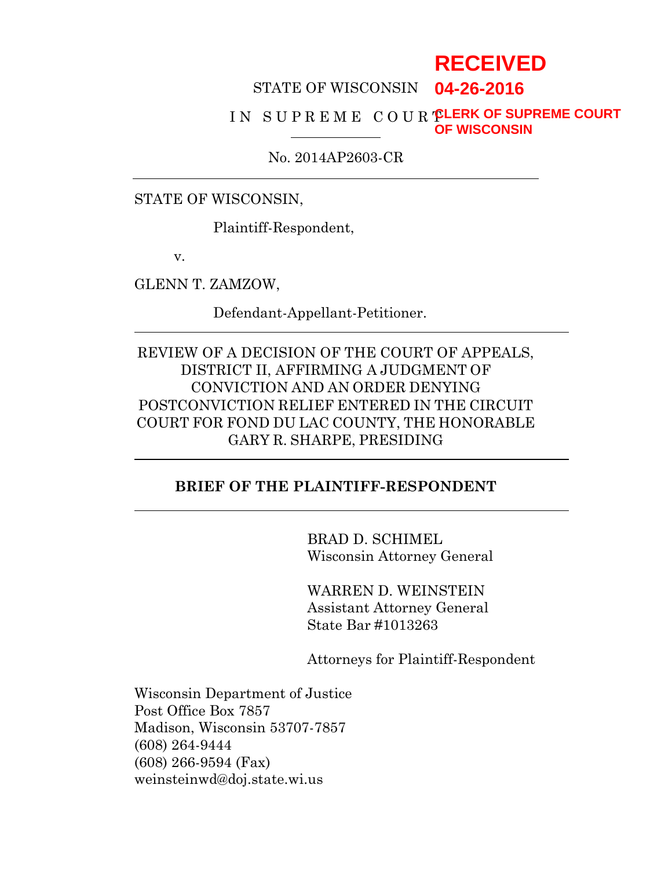# **RECEIVED**

#### STATE OF WISCONSIN **04-26-2016**

#### I N S U P R E M E C O U R T **CLERK OF SUPREME COURT OF WISCONSIN**

No. 2014AP2603-CR

STATE OF WISCONSIN,

Plaintiff-Respondent,

v.

GLENN T. ZAMZOW,

Defendant-Appellant-Petitioner.

REVIEW OF A DECISION OF THE COURT OF APPEALS, DISTRICT II, AFFIRMING A JUDGMENT OF CONVICTION AND AN ORDER DENYING POSTCONVICTION RELIEF ENTERED IN THE CIRCUIT COURT FOR FOND DU LAC COUNTY, THE HONORABLE GARY R. SHARPE, PRESIDING

### **BRIEF OF THE PLAINTIFF-RESPONDENT**

BRAD D. SCHIMEL Wisconsin Attorney General

WARREN D. WEINSTEIN Assistant Attorney General State Bar #1013263

Attorneys for Plaintiff-Respondent

Wisconsin Department of Justice Post Office Box 7857 Madison, Wisconsin 53707-7857 (608) 264-9444 (608) 266-9594 (Fax) weinsteinwd@doj.state.wi.us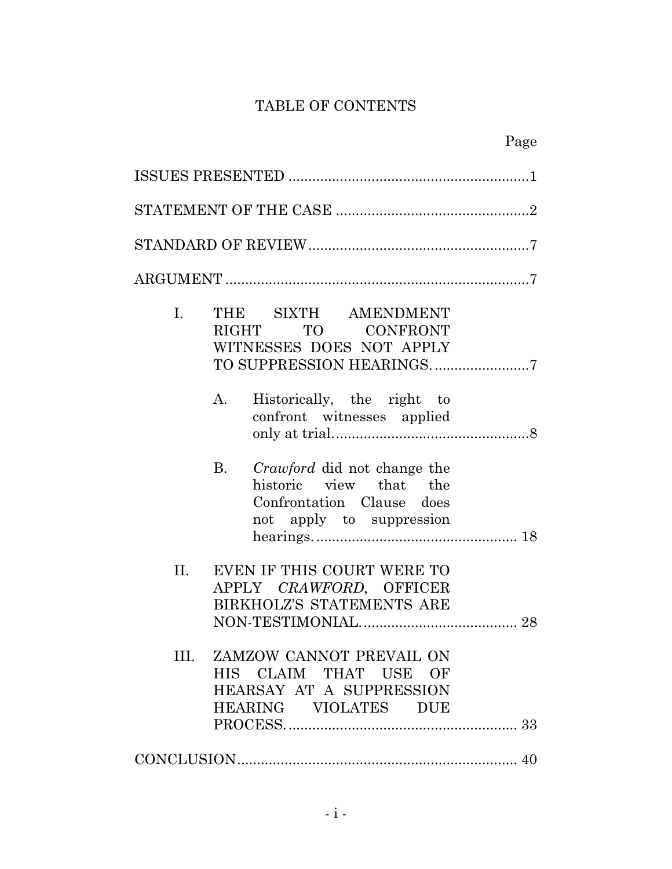# TABLE OF CONTENTS

| STATEMENT OF THE CASE $$                                                                                          |  |  |  |  |
|-------------------------------------------------------------------------------------------------------------------|--|--|--|--|
|                                                                                                                   |  |  |  |  |
|                                                                                                                   |  |  |  |  |
| THE SIXTH AMENDMENT<br>I.<br>RIGHT TO CONFRONT<br>WITNESSES DOES NOT APPLY<br>TO SUPPRESSION HEARINGS7            |  |  |  |  |
| Historically, the right to<br>A.<br>confront witnesses applied                                                    |  |  |  |  |
| B. Crawford did not change the<br>historic view that the<br>Confrontation Clause does<br>not apply to suppression |  |  |  |  |
| EVEN IF THIS COURT WERE TO<br>II.<br>APPLY CRAWFORD, OFFICER<br>BIRKHOLZ'S STATEMENTS ARE                         |  |  |  |  |
| ZAMZOW CANNOT PREVAIL ON<br>III.<br>HIS CLAIM THAT USE OF<br>HEARSAY AT A SUPPRESSION<br>HEARING VIOLATES DUE     |  |  |  |  |
|                                                                                                                   |  |  |  |  |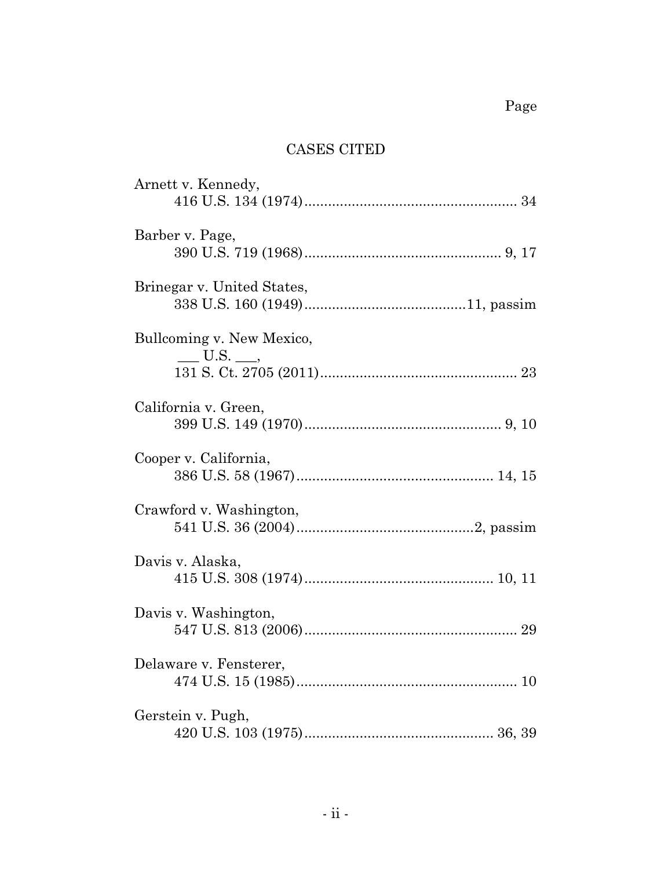# CASES CITED

| Arnett v. Kennedy,                    |
|---------------------------------------|
| Barber v. Page,                       |
| Brinegar v. United States,            |
| Bullcoming v. New Mexico,<br>$U.S.$ , |
| California v. Green,                  |
| Cooper v. California,                 |
| Crawford v. Washington,               |
| Davis v. Alaska,                      |
| Davis v. Washington,                  |
| Delaware v. Fensterer,                |
| Gerstein v. Pugh,                     |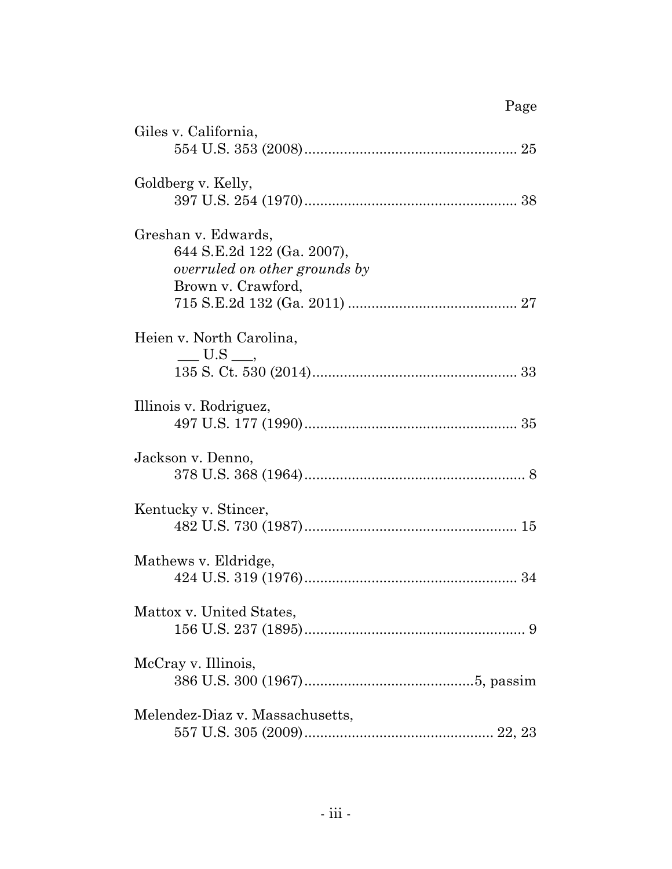| Giles v. California,                                                                                     |
|----------------------------------------------------------------------------------------------------------|
| Goldberg v. Kelly,                                                                                       |
| Greshan v. Edwards,<br>644 S.E.2d 122 (Ga. 2007),<br>overruled on other grounds by<br>Brown v. Crawford, |
| Heien v. North Carolina,<br>$\_\_\_\$ U.S $\_\_\$                                                        |
| Illinois v. Rodriguez,                                                                                   |
| Jackson v. Denno,                                                                                        |
| Kentucky v. Stincer,                                                                                     |
| Mathews v. Eldridge,                                                                                     |
| Mattox v. United States,                                                                                 |
| McCray v. Illinois,                                                                                      |
| Melendez-Diaz v. Massachusetts,                                                                          |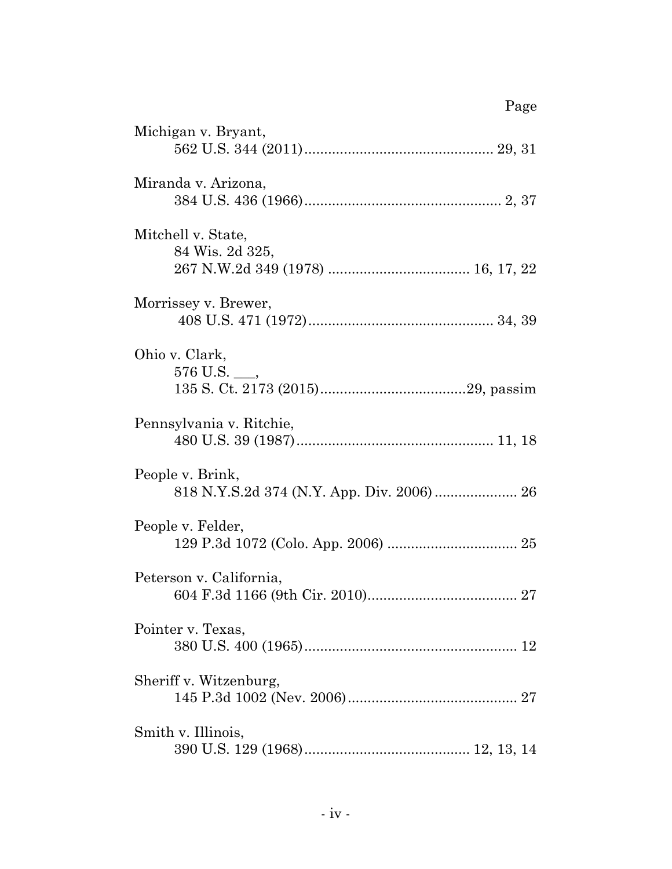| Page                                  |
|---------------------------------------|
| Michigan v. Bryant,                   |
| Miranda v. Arizona,                   |
| Mitchell v. State,<br>84 Wis. 2d 325, |
| Morrissey v. Brewer,                  |
| Ohio v. Clark,<br>$576$ U.S. $\_\_$   |
| Pennsylvania v. Ritchie,              |
| People v. Brink,                      |
| People v. Felder,                     |
| Peterson v. California,               |
| Pointer v. Texas,                     |
| Sheriff v. Witzenburg,                |
| Smith v. Illinois,                    |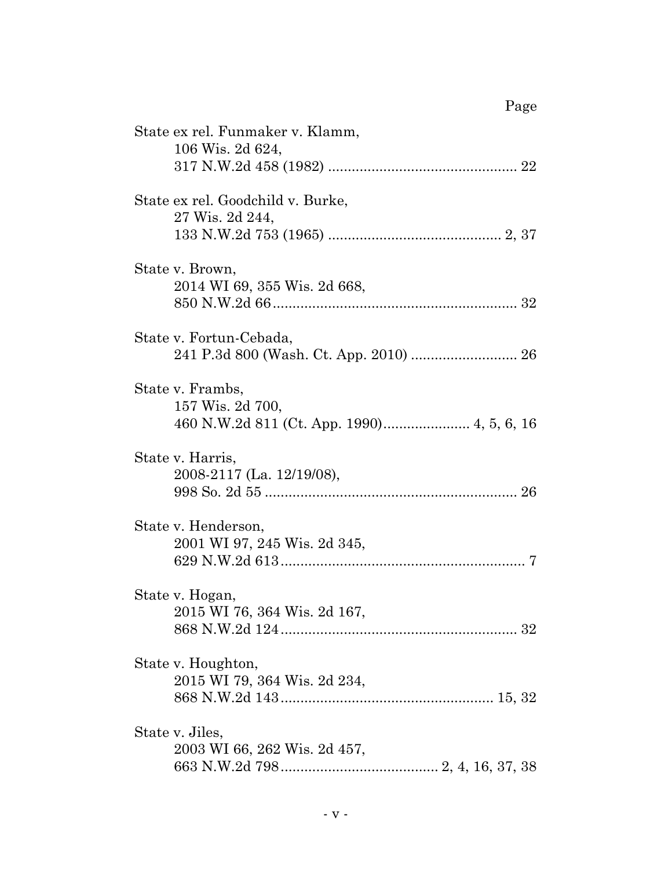| State ex rel. Funmaker v. Klamm,<br>106 Wis. 2d 624, |  |
|------------------------------------------------------|--|
| State ex rel. Goodchild v. Burke,<br>27 Wis. 2d 244, |  |
| State v. Brown,<br>2014 WI 69, 355 Wis. 2d 668,      |  |
| State v. Fortun-Cebada,                              |  |
| State v. Frambs,<br>157 Wis. 2d 700,                 |  |
| State v. Harris,<br>2008-2117 (La. 12/19/08),        |  |
| State v. Henderson,<br>2001 WI 97, 245 Wis. 2d 345,  |  |
| State v. Hogan,<br>2015 WI 76, 364 Wis. 2d 167,      |  |
| State v. Houghton,<br>2015 WI 79, 364 Wis. 2d 234,   |  |
| State v. Jiles,<br>2003 WI 66, 262 Wis. 2d 457,      |  |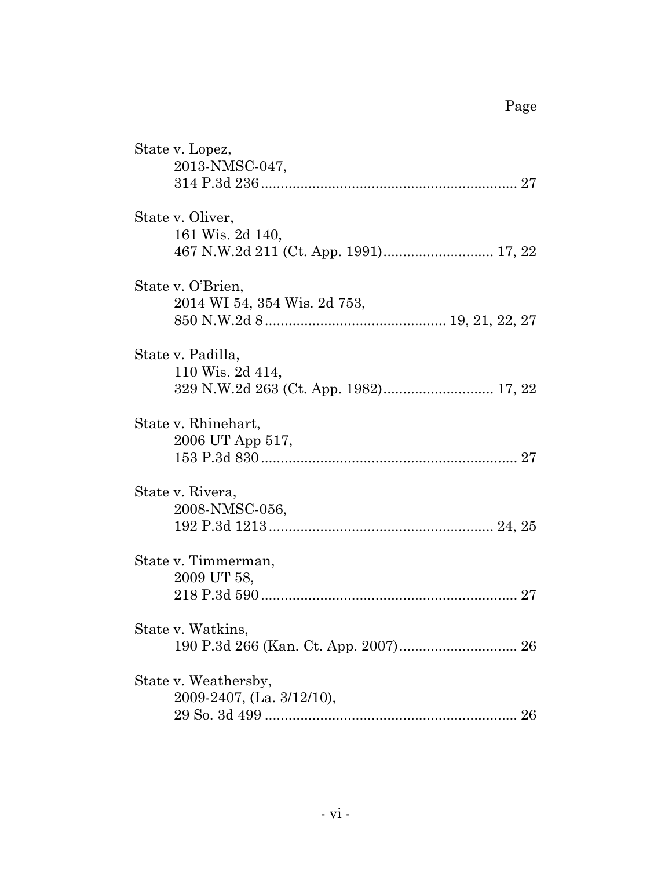| State v. Lopez,<br>2013-NMSC-047,                 |
|---------------------------------------------------|
| State v. Oliver,<br>161 Wis. 2d 140,              |
| State v. O'Brien,<br>2014 WI 54, 354 Wis. 2d 753, |
| State v. Padilla,<br>110 Wis. 2d 414,             |
| State v. Rhinehart,<br>2006 UT App 517,           |
| State v. Rivera,<br>2008-NMSC-056,                |
| State v. Timmerman,<br>2009 UT 58,                |
| State v. Watkins,                                 |
| State v. Weathersby,<br>2009-2407, (La. 3/12/10), |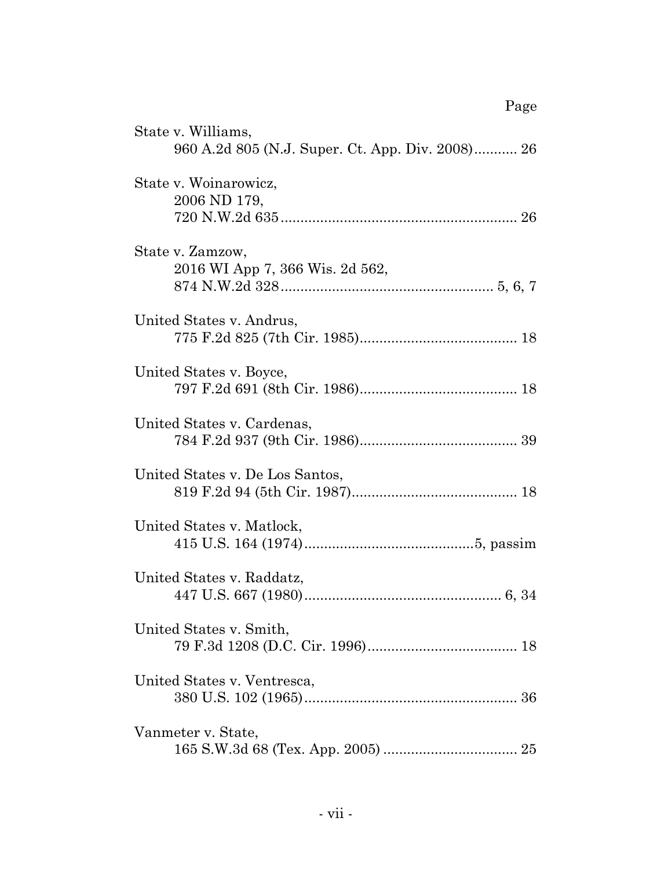| Page                                                                   |
|------------------------------------------------------------------------|
| State v. Williams,<br>960 A.2d 805 (N.J. Super. Ct. App. Div. 2008) 26 |
| State v. Woinarowicz,<br>2006 ND 179,                                  |
| State v. Zamzow,<br>2016 WI App 7, 366 Wis. 2d 562,                    |
| United States v. Andrus,                                               |
| United States v. Boyce,                                                |
| United States v. Cardenas,                                             |
| United States v. De Los Santos,                                        |
| United States v. Matlock,                                              |
| United States v. Raddatz,                                              |
| United States v. Smith,                                                |
| United States v. Ventresca,                                            |
| Vanmeter v. State,                                                     |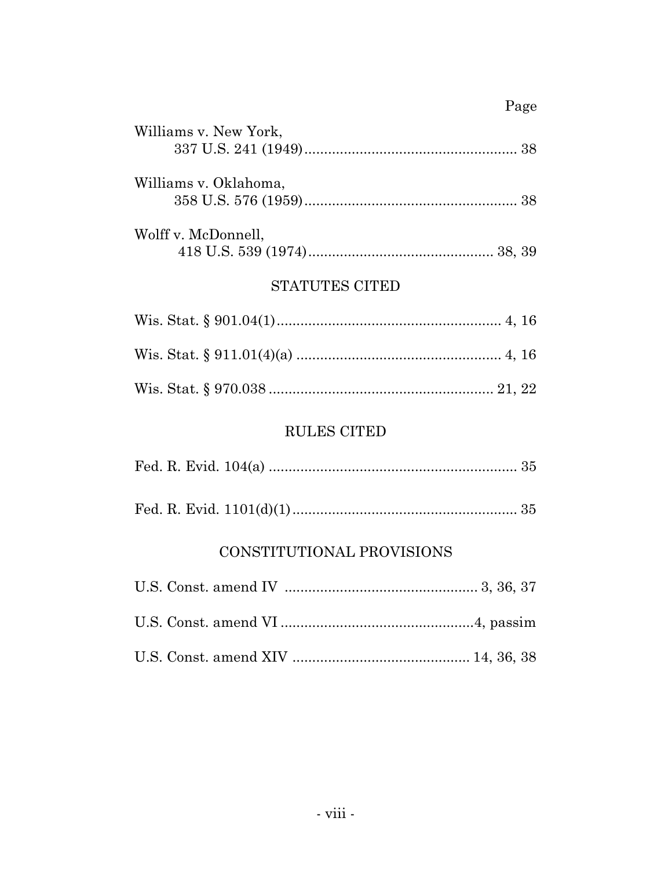# Page

| Williams v. New York, |  |
|-----------------------|--|
| Williams v. Oklahoma, |  |
| Wolff v. McDonnell,   |  |

# STATUTES CITED

# RULES CITED

|--|--|--|

|--|--|--|

# CONSTITUTIONAL PROVISIONS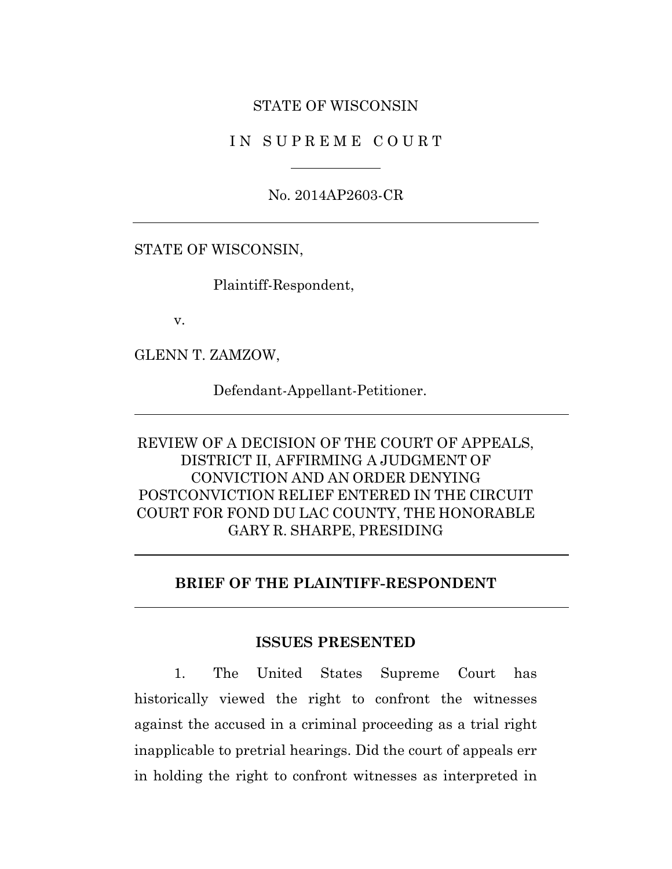#### STATE OF WISCONSIN

#### I N S U P R E M E C O U R T

No. 2014AP2603-CR

STATE OF WISCONSIN,

Plaintiff-Respondent,

v.

GLENN T. ZAMZOW,

Defendant-Appellant-Petitioner.

# REVIEW OF A DECISION OF THE COURT OF APPEALS, DISTRICT II, AFFIRMING A JUDGMENT OF CONVICTION AND AN ORDER DENYING POSTCONVICTION RELIEF ENTERED IN THE CIRCUIT COURT FOR FOND DU LAC COUNTY, THE HONORABLE GARY R. SHARPE, PRESIDING

#### **BRIEF OF THE PLAINTIFF-RESPONDENT**

#### **ISSUES PRESENTED**

1. The United States Supreme Court has historically viewed the right to confront the witnesses against the accused in a criminal proceeding as a trial right inapplicable to pretrial hearings. Did the court of appeals err in holding the right to confront witnesses as interpreted in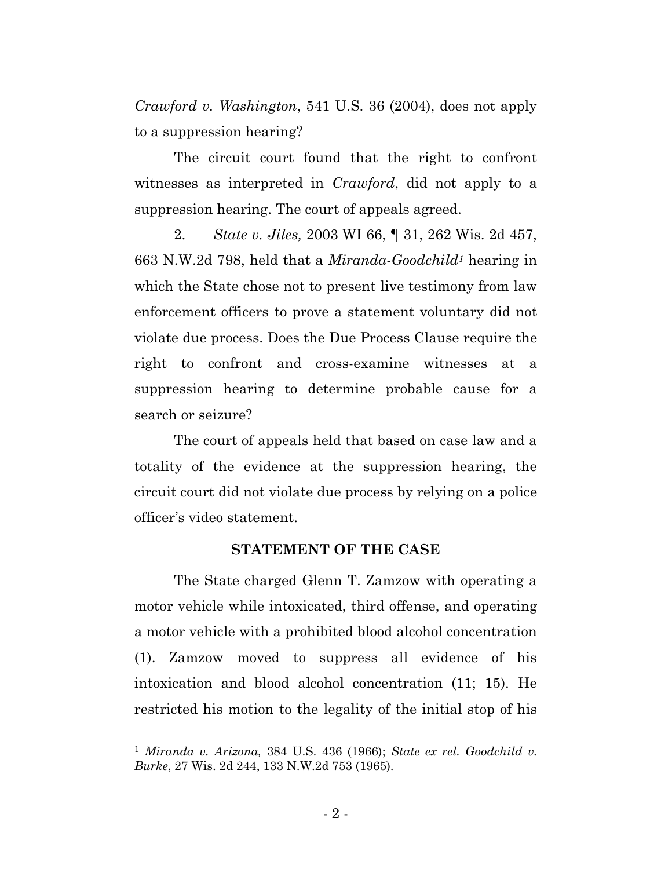*Crawford v. Washington*, 541 U.S. 36 (2004), does not apply to a suppression hearing?

The circuit court found that the right to confront witnesses as interpreted in *Crawford*, did not apply to a suppression hearing. The court of appeals agreed.

2. *State v. Jiles,* 2003 WI 66, ¶ 31, 262 Wis. 2d 457, 663 N.W.2d 798, held that a *Miranda*-*Goodchild<sup>1</sup>* hearing in which the State chose not to present live testimony from law enforcement officers to prove a statement voluntary did not violate due process. Does the Due Process Clause require the right to confront and cross-examine witnesses at a suppression hearing to determine probable cause for a search or seizure?

The court of appeals held that based on case law and a totality of the evidence at the suppression hearing, the circuit court did not violate due process by relying on a police officer's video statement.

#### **STATEMENT OF THE CASE**

The State charged Glenn T. Zamzow with operating a motor vehicle while intoxicated, third offense, and operating a motor vehicle with a prohibited blood alcohol concentration (1). Zamzow moved to suppress all evidence of his intoxication and blood alcohol concentration (11; 15). He restricted his motion to the legality of the initial stop of his

<sup>1</sup> *Miranda v. Arizona,* 384 U.S. 436 (1966); *State ex rel. Goodchild v. Burke*, 27 Wis. 2d 244, 133 N.W.2d 753 (1965).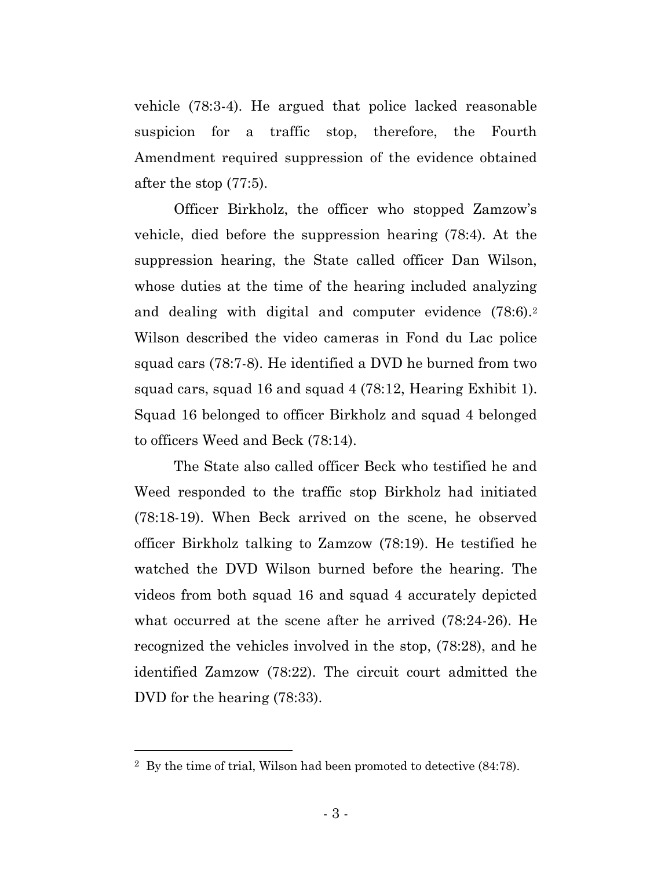vehicle (78:3-4). He argued that police lacked reasonable suspicion for a traffic stop, therefore, the Fourth Amendment required suppression of the evidence obtained after the stop (77:5).

Officer Birkholz, the officer who stopped Zamzow's vehicle, died before the suppression hearing (78:4). At the suppression hearing, the State called officer Dan Wilson, whose duties at the time of the hearing included analyzing and dealing with digital and computer evidence (78:6).<sup>2</sup> Wilson described the video cameras in Fond du Lac police squad cars (78:7-8). He identified a DVD he burned from two squad cars, squad 16 and squad 4 (78:12, Hearing Exhibit 1). Squad 16 belonged to officer Birkholz and squad 4 belonged to officers Weed and Beck (78:14).

The State also called officer Beck who testified he and Weed responded to the traffic stop Birkholz had initiated (78:18-19). When Beck arrived on the scene, he observed officer Birkholz talking to Zamzow (78:19). He testified he watched the DVD Wilson burned before the hearing. The videos from both squad 16 and squad 4 accurately depicted what occurred at the scene after he arrived (78:24-26). He recognized the vehicles involved in the stop, (78:28), and he identified Zamzow (78:22). The circuit court admitted the DVD for the hearing (78:33).

<sup>2</sup> By the time of trial, Wilson had been promoted to detective (84:78).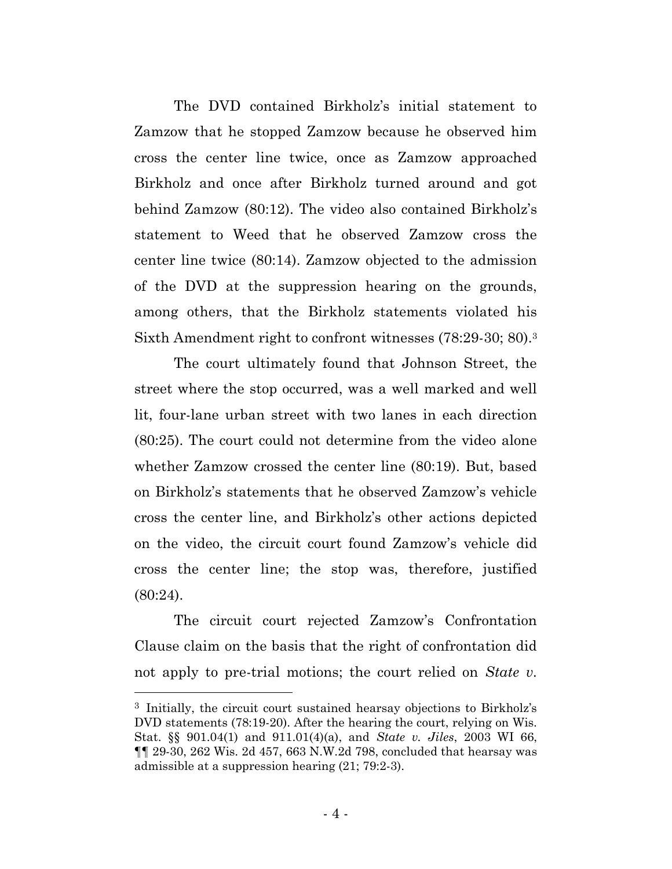The DVD contained Birkholz's initial statement to Zamzow that he stopped Zamzow because he observed him cross the center line twice, once as Zamzow approached Birkholz and once after Birkholz turned around and got behind Zamzow (80:12). The video also contained Birkholz's statement to Weed that he observed Zamzow cross the center line twice (80:14). Zamzow objected to the admission of the DVD at the suppression hearing on the grounds, among others, that the Birkholz statements violated his Sixth Amendment right to confront witnesses (78:29-30; 80).<sup>3</sup>

The court ultimately found that Johnson Street, the street where the stop occurred, was a well marked and well lit, four-lane urban street with two lanes in each direction (80:25). The court could not determine from the video alone whether Zamzow crossed the center line (80:19). But, based on Birkholz's statements that he observed Zamzow's vehicle cross the center line, and Birkholz's other actions depicted on the video, the circuit court found Zamzow's vehicle did cross the center line; the stop was, therefore, justified (80:24).

The circuit court rejected Zamzow's Confrontation Clause claim on the basis that the right of confrontation did not apply to pre-trial motions; the court relied on *State v.* 

<sup>3</sup> Initially, the circuit court sustained hearsay objections to Birkholz's DVD statements (78:19-20). After the hearing the court, relying on Wis. Stat. §§ 901.04(1) and 911.01(4)(a), and *State v. Jiles*, 2003 WI 66, ¶¶ 29-30, 262 Wis. 2d 457, 663 N.W.2d 798, concluded that hearsay was admissible at a suppression hearing (21; 79:2-3).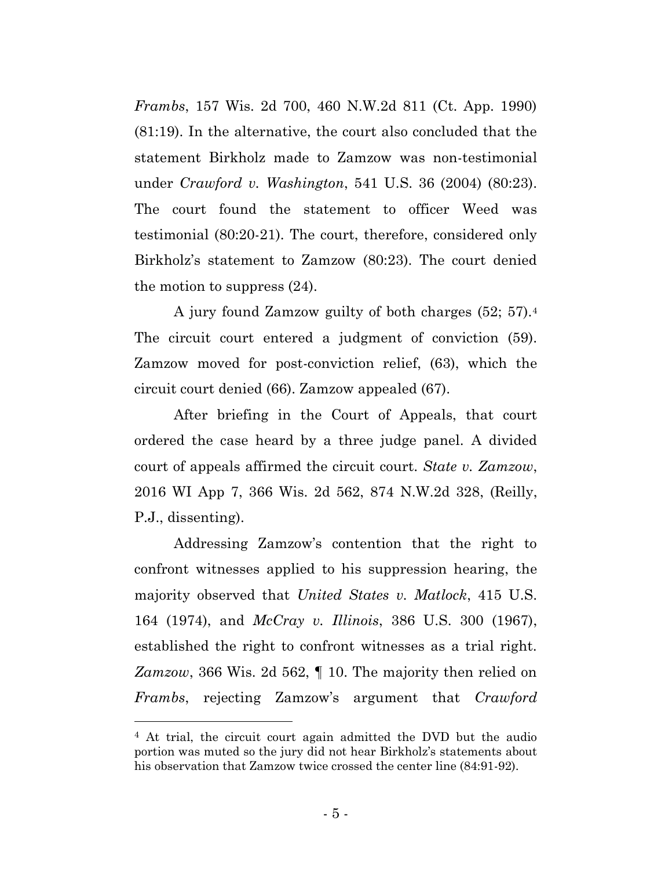*Frambs*, 157 Wis. 2d 700, 460 N.W.2d 811 (Ct. App. 1990) (81:19). In the alternative, the court also concluded that the statement Birkholz made to Zamzow was non-testimonial under *Crawford v. Washington*, 541 U.S. 36 (2004) (80:23). The court found the statement to officer Weed was testimonial (80:20-21). The court, therefore, considered only Birkholz's statement to Zamzow (80:23). The court denied the motion to suppress (24).

A jury found Zamzow guilty of both charges (52; 57).<sup>4</sup> The circuit court entered a judgment of conviction (59). Zamzow moved for post-conviction relief, (63), which the circuit court denied (66). Zamzow appealed (67).

After briefing in the Court of Appeals, that court ordered the case heard by a three judge panel. A divided court of appeals affirmed the circuit court. *State v. Zamzow*, 2016 WI App 7, 366 Wis. 2d 562, 874 N.W.2d 328, (Reilly, P.J., dissenting).

Addressing Zamzow's contention that the right to confront witnesses applied to his suppression hearing, the majority observed that *United States v. Matlock*, 415 U.S. 164 (1974), and *McCray v. Illinois*, 386 U.S. 300 (1967), established the right to confront witnesses as a trial right. *Zamzow*, 366 Wis. 2d 562, ¶ 10. The majority then relied on *Frambs*, rejecting Zamzow's argument that *Crawford* 

<sup>4</sup> At trial, the circuit court again admitted the DVD but the audio portion was muted so the jury did not hear Birkholz's statements about his observation that Zamzow twice crossed the center line (84:91-92).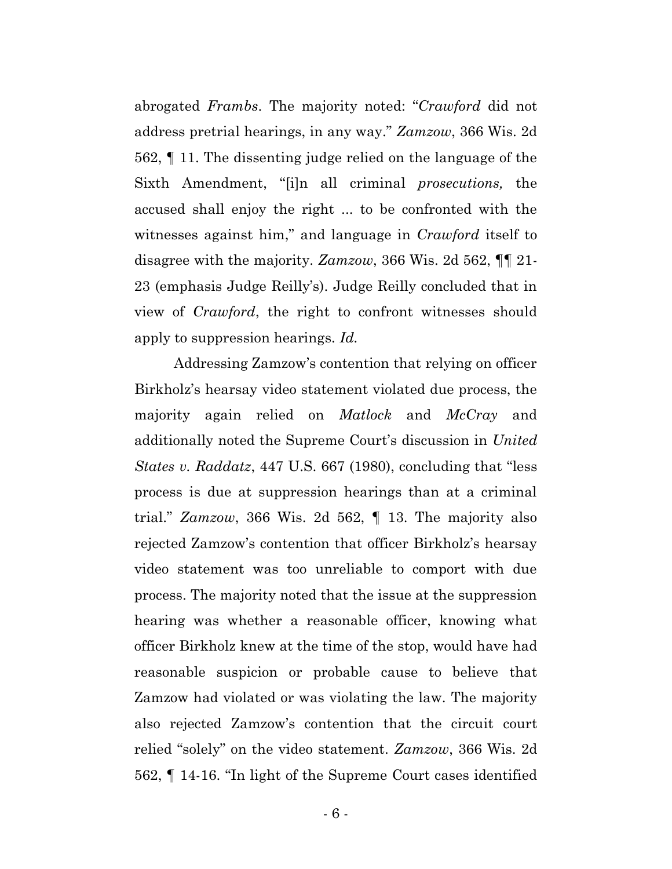abrogated *Frambs*. The majority noted: "*Crawford* did not address pretrial hearings, in any way." *Zamzow*, 366 Wis. 2d 562, ¶ 11. The dissenting judge relied on the language of the Sixth Amendment, "[i]n all criminal *prosecutions,* the accused shall enjoy the right ... to be confronted with the witnesses against him," and language in *Crawford* itself to disagree with the majority. *Zamzow*, 366 Wis. 2d 562, ¶¶ 21- 23 (emphasis Judge Reilly's). Judge Reilly concluded that in view of *Crawford*, the right to confront witnesses should apply to suppression hearings. *Id.*

Addressing Zamzow's contention that relying on officer Birkholz's hearsay video statement violated due process, the majority again relied on *Matlock* and *McCray* and additionally noted the Supreme Court's discussion in *United States v. Raddatz*, 447 U.S. 667 (1980), concluding that "less process is due at suppression hearings than at a criminal trial." *Zamzow*, 366 Wis. 2d 562, ¶ 13. The majority also rejected Zamzow's contention that officer Birkholz's hearsay video statement was too unreliable to comport with due process. The majority noted that the issue at the suppression hearing was whether a reasonable officer, knowing what officer Birkholz knew at the time of the stop, would have had reasonable suspicion or probable cause to believe that Zamzow had violated or was violating the law. The majority also rejected Zamzow's contention that the circuit court relied "solely" on the video statement. *Zamzow*, 366 Wis. 2d 562, ¶ 14-16. "In light of the Supreme Court cases identified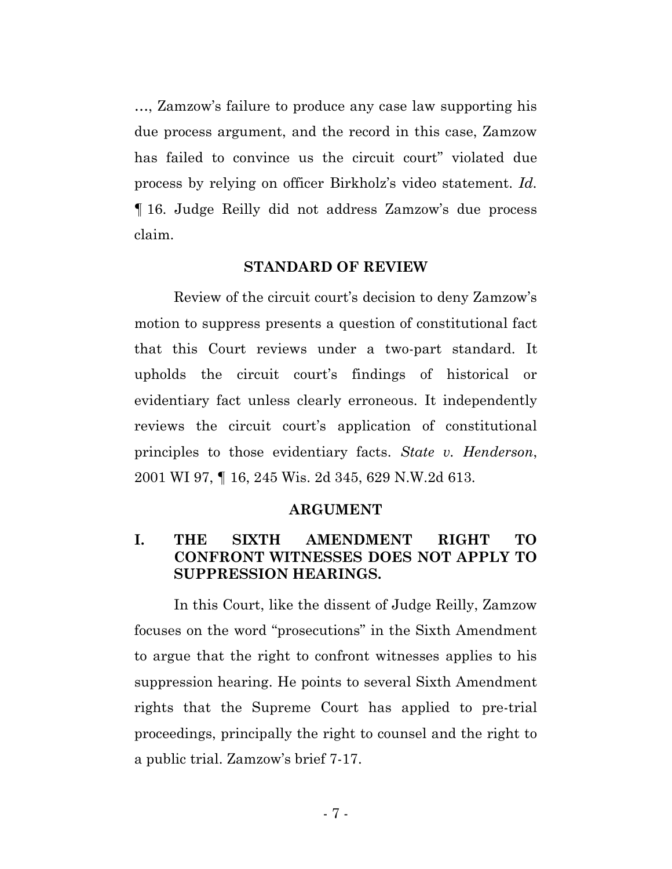…, Zamzow's failure to produce any case law supporting his due process argument, and the record in this case, Zamzow has failed to convince us the circuit court" violated due process by relying on officer Birkholz's video statement. *Id.* ¶ 16. Judge Reilly did not address Zamzow's due process claim.

### **STANDARD OF REVIEW**

Review of the circuit court's decision to deny Zamzow's motion to suppress presents a question of constitutional fact that this Court reviews under a two-part standard. It upholds the circuit court's findings of historical or evidentiary fact unless clearly erroneous. It independently reviews the circuit court's application of constitutional principles to those evidentiary facts. *State v. Henderson*, 2001 WI 97, ¶ 16, 245 Wis. 2d 345, 629 N.W.2d 613.

#### **ARGUMENT**

## **I. THE SIXTH AMENDMENT RIGHT TO CONFRONT WITNESSES DOES NOT APPLY TO SUPPRESSION HEARINGS.**

In this Court, like the dissent of Judge Reilly, Zamzow focuses on the word "prosecutions" in the Sixth Amendment to argue that the right to confront witnesses applies to his suppression hearing. He points to several Sixth Amendment rights that the Supreme Court has applied to pre-trial proceedings, principally the right to counsel and the right to a public trial. Zamzow's brief 7-17.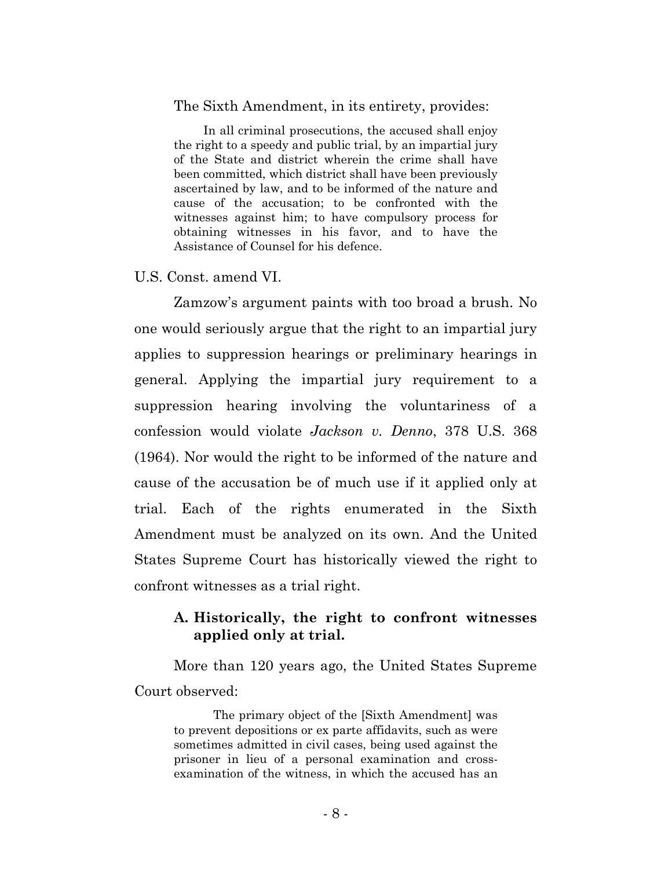#### The Sixth Amendment, in its entirety, provides:

In all criminal prosecutions, the accused shall enjoy the right to a speedy and public trial, by an impartial jury of the State and district wherein the crime shall have been committed, which district shall have been previously ascertained by law, and to be informed of the nature and cause of the accusation; to be confronted with the witnesses against him; to have compulsory process for obtaining witnesses in his favor, and to have the Assistance of Counsel for his defence.

U.S. Const. amend VI.

Zamzow's argument paints with too broad a brush. No one would seriously argue that the right to an impartial jury applies to suppression hearings or preliminary hearings in general. Applying the impartial jury requirement to a suppression hearing involving the voluntariness of a confession would violate *Jackson v. Denno*, 378 U.S. 368 (1964). Nor would the right to be informed of the nature and cause of the accusation be of much use if it applied only at trial. Each of the rights enumerated in the Sixth Amendment must be analyzed on its own. And the United States Supreme Court has historically viewed the right to confront witnesses as a trial right.

### **A. Historically, the right to confront witnesses applied only at trial.**

More than 120 years ago, the United States Supreme Court observed:

The primary object of the [Sixth Amendment] was to prevent depositions or ex parte affidavits, such as were sometimes admitted in civil cases, being used against the prisoner in lieu of a personal examination and crossexamination of the witness, in which the accused has an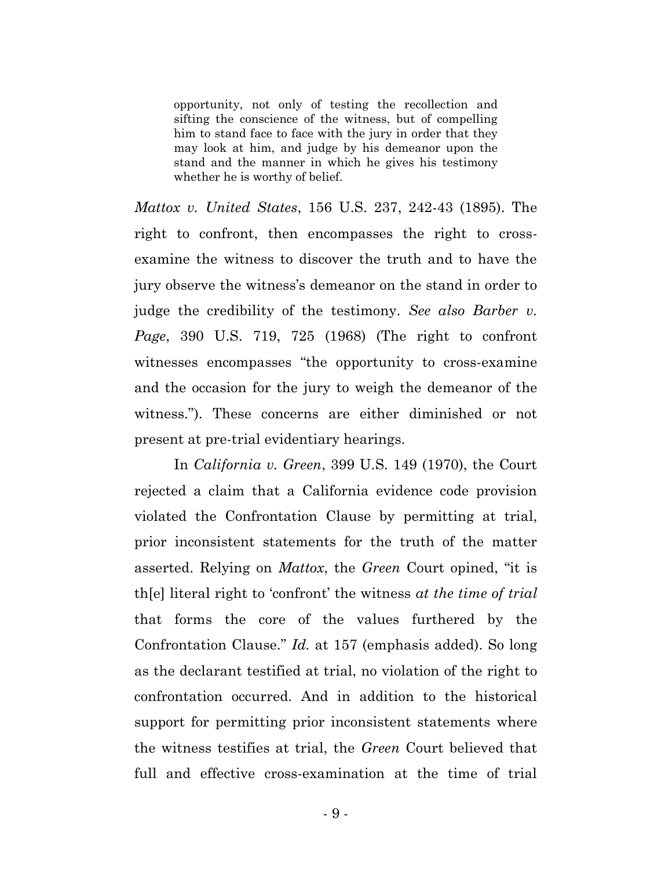opportunity, not only of testing the recollection and sifting the conscience of the witness, but of compelling him to stand face to face with the jury in order that they may look at him, and judge by his demeanor upon the stand and the manner in which he gives his testimony whether he is worthy of belief.

*Mattox v. United States*, 156 U.S. 237, 242-43 (1895). The right to confront, then encompasses the right to crossexamine the witness to discover the truth and to have the jury observe the witness's demeanor on the stand in order to judge the credibility of the testimony. *See also Barber v. Page*, 390 U.S. 719, 725 (1968) (The right to confront witnesses encompasses "the opportunity to cross-examine and the occasion for the jury to weigh the demeanor of the witness."). These concerns are either diminished or not present at pre-trial evidentiary hearings.

In *California v. Green*, 399 U.S. 149 (1970), the Court rejected a claim that a California evidence code provision violated the Confrontation Clause by permitting at trial, prior inconsistent statements for the truth of the matter asserted. Relying on *Mattox*, the *Green* Court opined, "it is th[e] literal right to 'confront' the witness *at the time of trial* that forms the core of the values furthered by the Confrontation Clause." *Id.* at 157 (emphasis added). So long as the declarant testified at trial, no violation of the right to confrontation occurred. And in addition to the historical support for permitting prior inconsistent statements where the witness testifies at trial, the *Green* Court believed that full and effective cross-examination at the time of trial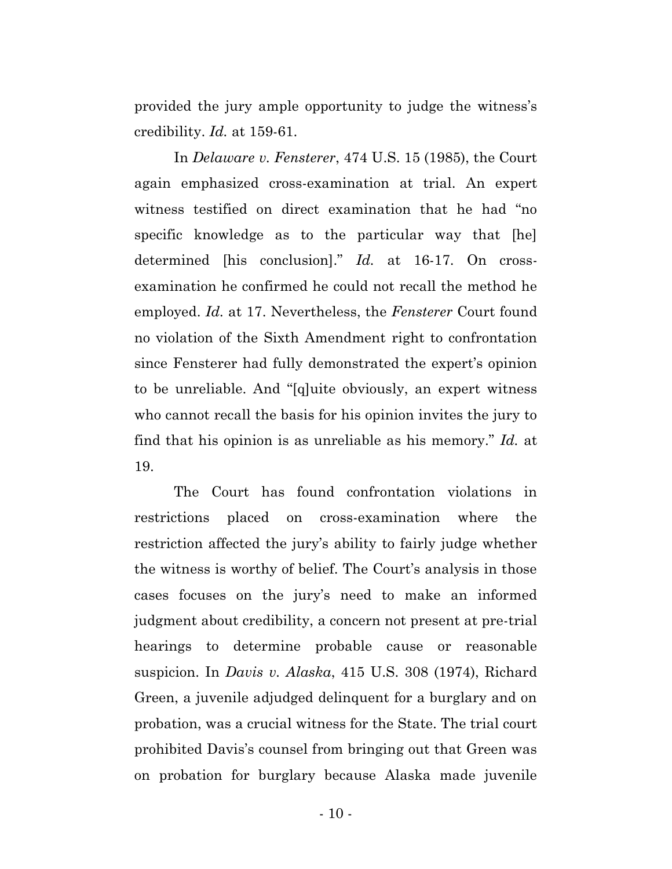provided the jury ample opportunity to judge the witness's credibility. *Id.* at 159-61.

In *Delaware v. Fensterer*, 474 U.S. 15 (1985), the Court again emphasized cross-examination at trial. An expert witness testified on direct examination that he had "no specific knowledge as to the particular way that [he] determined [his conclusion]." *Id.* at 16-17. On crossexamination he confirmed he could not recall the method he employed. *Id.* at 17. Nevertheless, the *Fensterer* Court found no violation of the Sixth Amendment right to confrontation since Fensterer had fully demonstrated the expert's opinion to be unreliable. And "[q]uite obviously, an expert witness who cannot recall the basis for his opinion invites the jury to find that his opinion is as unreliable as his memory." *Id.* at 19.

The Court has found confrontation violations in restrictions placed on cross-examination where the restriction affected the jury's ability to fairly judge whether the witness is worthy of belief. The Court's analysis in those cases focuses on the jury's need to make an informed judgment about credibility, a concern not present at pre-trial hearings to determine probable cause or reasonable suspicion. In *Davis v. Alaska*, 415 U.S. 308 (1974), Richard Green, a juvenile adjudged delinquent for a burglary and on probation, was a crucial witness for the State. The trial court prohibited Davis's counsel from bringing out that Green was on probation for burglary because Alaska made juvenile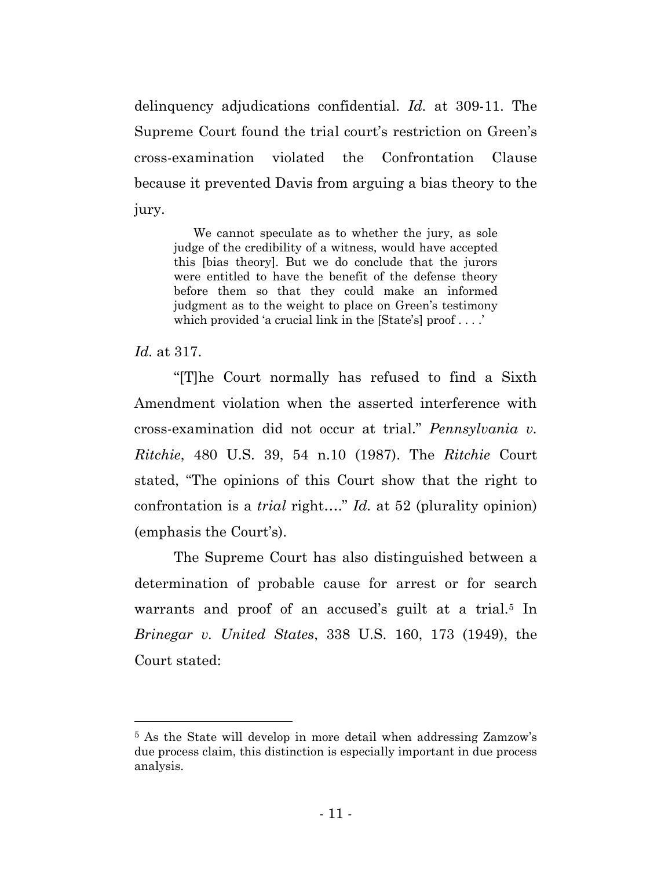delinquency adjudications confidential. *Id.* at 309-11. The Supreme Court found the trial court's restriction on Green's cross-examination violated the Confrontation Clause because it prevented Davis from arguing a bias theory to the jury.

We cannot speculate as to whether the jury, as sole judge of the credibility of a witness, would have accepted this [bias theory]. But we do conclude that the jurors were entitled to have the benefit of the defense theory before them so that they could make an informed judgment as to the weight to place on Green's testimony which provided 'a crucial link in the [State's] proof . . . .'

*Id.* at 317.

"[T]he Court normally has refused to find a Sixth Amendment violation when the asserted interference with cross-examination did not occur at trial." *Pennsylvania v. Ritchie*, 480 U.S. 39, 54 n.10 (1987). The *Ritchie* Court stated, "The opinions of this Court show that the right to confrontation is a *trial* right…." *Id.* at 52 (plurality opinion) (emphasis the Court's).

The Supreme Court has also distinguished between a determination of probable cause for arrest or for search warrants and proof of an accused's guilt at a trial.<sup>5</sup> In *Brinegar v. United States*, 338 U.S. 160, 173 (1949), the Court stated:

<sup>5</sup> As the State will develop in more detail when addressing Zamzow's due process claim, this distinction is especially important in due process analysis.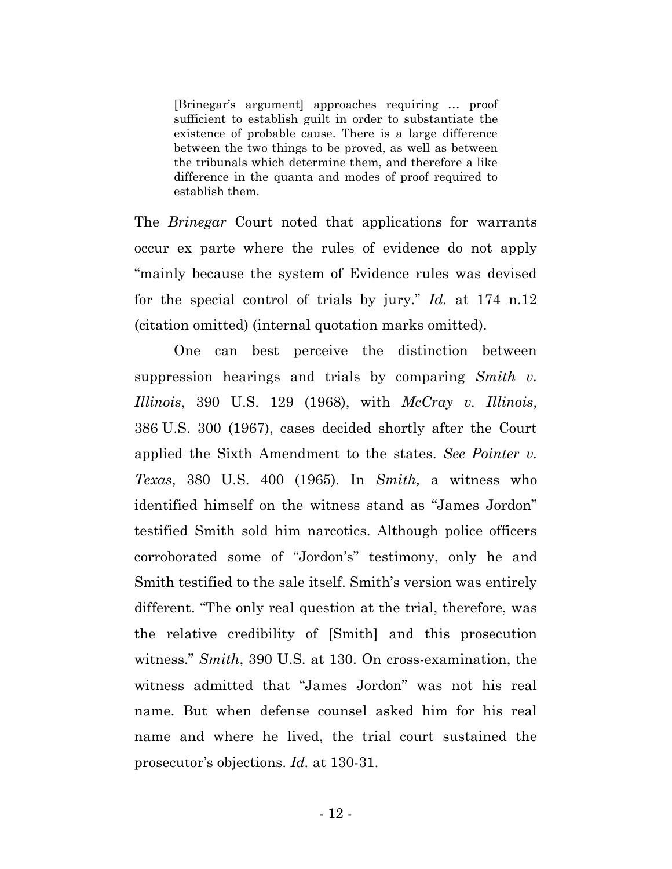[Brinegar's argument] approaches requiring … proof sufficient to establish guilt in order to substantiate the existence of probable cause. There is a large difference between the two things to be proved, as well as between the tribunals which determine them, and therefore a like difference in the quanta and modes of proof required to establish them.

The *Brinegar* Court noted that applications for warrants occur ex parte where the rules of evidence do not apply "mainly because the system of Evidence rules was devised for the special control of trials by jury." *Id.* at 174 n.12 (citation omitted) (internal quotation marks omitted).

One can best perceive the distinction between suppression hearings and trials by comparing *Smith v. Illinois*, 390 U.S. 129 (1968), with *McCray v. Illinois*, 386 U.S. 300 (1967), cases decided shortly after the Court applied the Sixth Amendment to the states. *See Pointer v. Texas*, 380 U.S. 400 (1965). In *Smith,* a witness who identified himself on the witness stand as "James Jordon" testified Smith sold him narcotics. Although police officers corroborated some of "Jordon's" testimony, only he and Smith testified to the sale itself. Smith's version was entirely different. "The only real question at the trial, therefore, was the relative credibility of [Smith] and this prosecution witness." *Smith*, 390 U.S. at 130. On cross-examination, the witness admitted that "James Jordon" was not his real name. But when defense counsel asked him for his real name and where he lived, the trial court sustained the prosecutor's objections. *Id.* at 130-31.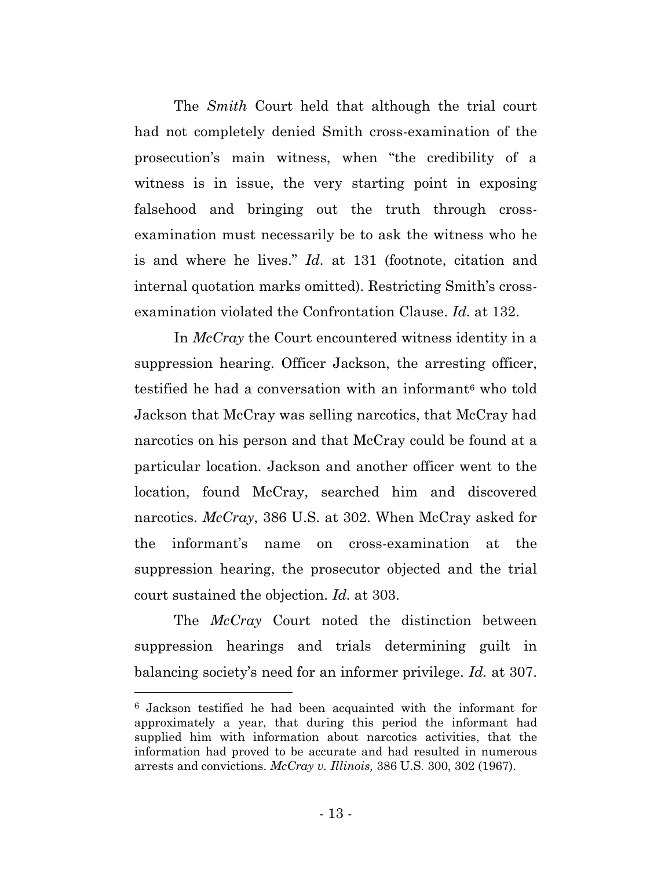The *Smith* Court held that although the trial court had not completely denied Smith cross-examination of the prosecution's main witness, when "the credibility of a witness is in issue, the very starting point in exposing falsehood and bringing out the truth through crossexamination must necessarily be to ask the witness who he is and where he lives." *Id.* at 131 (footnote, citation and internal quotation marks omitted). Restricting Smith's crossexamination violated the Confrontation Clause. *Id.* at 132.

In *McCray* the Court encountered witness identity in a suppression hearing. Officer Jackson, the arresting officer, testified he had a conversation with an informant<sup>6</sup> who told Jackson that McCray was selling narcotics, that McCray had narcotics on his person and that McCray could be found at a particular location. Jackson and another officer went to the location, found McCray, searched him and discovered narcotics. *McCray*, 386 U.S. at 302. When McCray asked for the informant's name on cross-examination at the suppression hearing, the prosecutor objected and the trial court sustained the objection. *Id.* at 303.

The *McCray* Court noted the distinction between suppression hearings and trials determining guilt in balancing society's need for an informer privilege. *Id.* at 307.

<sup>6</sup> Jackson testified he had been acquainted with the informant for approximately a year, that during this period the informant had supplied him with information about narcotics activities, that the information had proved to be accurate and had resulted in numerous arrests and convictions. *McCray v. Illinois,* 386 U.S. 300, 302 (1967).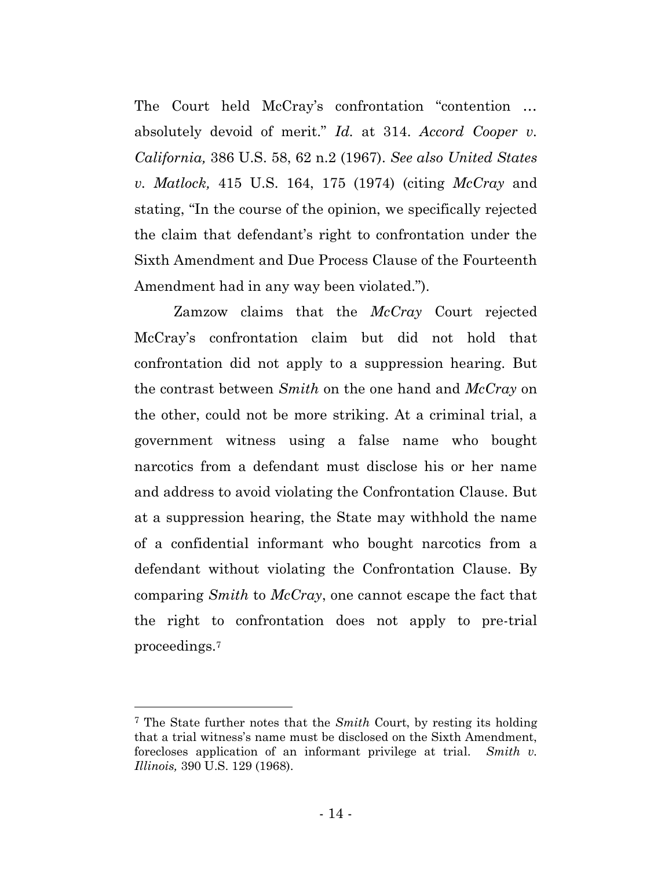The Court held McCray's confrontation "contention … absolutely devoid of merit." *Id.* at 314. *Accord Cooper v. California,* 386 U.S. 58, 62 n.2 (1967). *See also United States v. Matlock,* 415 U.S. 164, 175 (1974) (citing *McCray* and stating, "In the course of the opinion, we specifically rejected the claim that defendant's right to confrontation under the Sixth Amendment and Due Process Clause of the Fourteenth Amendment had in any way been violated.").

Zamzow claims that the *McCray* Court rejected McCray's confrontation claim but did not hold that confrontation did not apply to a suppression hearing. But the contrast between *Smith* on the one hand and *McCray* on the other, could not be more striking. At a criminal trial, a government witness using a false name who bought narcotics from a defendant must disclose his or her name and address to avoid violating the Confrontation Clause. But at a suppression hearing, the State may withhold the name of a confidential informant who bought narcotics from a defendant without violating the Confrontation Clause. By comparing *Smith* to *McCray*, one cannot escape the fact that the right to confrontation does not apply to pre-trial proceedings.<sup>7</sup>

<sup>7</sup> The State further notes that the *Smith* Court, by resting its holding that a trial witness's name must be disclosed on the Sixth Amendment, forecloses application of an informant privilege at trial. *Smith v. Illinois,* 390 U.S. 129 (1968).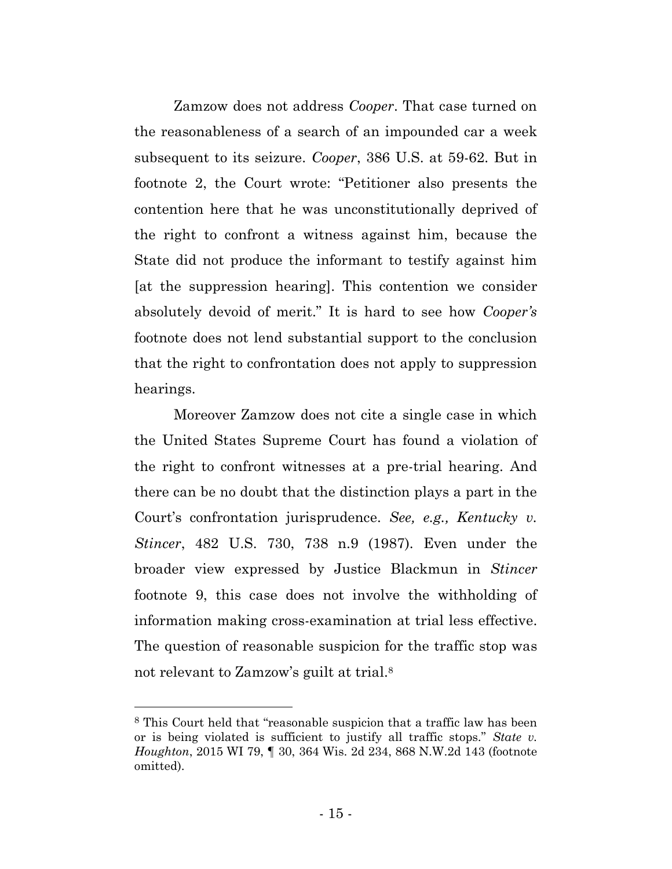Zamzow does not address *Cooper*. That case turned on the reasonableness of a search of an impounded car a week subsequent to its seizure. *Cooper*, 386 U.S. at 59-62. But in footnote 2, the Court wrote: "Petitioner also presents the contention here that he was unconstitutionally deprived of the right to confront a witness against him, because the State did not produce the informant to testify against him [at the suppression hearing]. This contention we consider absolutely devoid of merit." It is hard to see how *Cooper's* footnote does not lend substantial support to the conclusion that the right to confrontation does not apply to suppression hearings.

Moreover Zamzow does not cite a single case in which the United States Supreme Court has found a violation of the right to confront witnesses at a pre-trial hearing. And there can be no doubt that the distinction plays a part in the Court's confrontation jurisprudence. *See, e.g., Kentucky v. Stincer*, 482 U.S. 730, 738 n.9 (1987). Even under the broader view expressed by Justice Blackmun in *Stincer* footnote 9, this case does not involve the withholding of information making cross-examination at trial less effective. The question of reasonable suspicion for the traffic stop was not relevant to Zamzow's guilt at trial.<sup>8</sup>

<sup>8</sup> This Court held that "reasonable suspicion that a traffic law has been or is being violated is sufficient to justify all traffic stops." *State v. Houghton*, 2015 WI 79, ¶ 30, 364 Wis. 2d 234, 868 N.W.2d 143 (footnote omitted).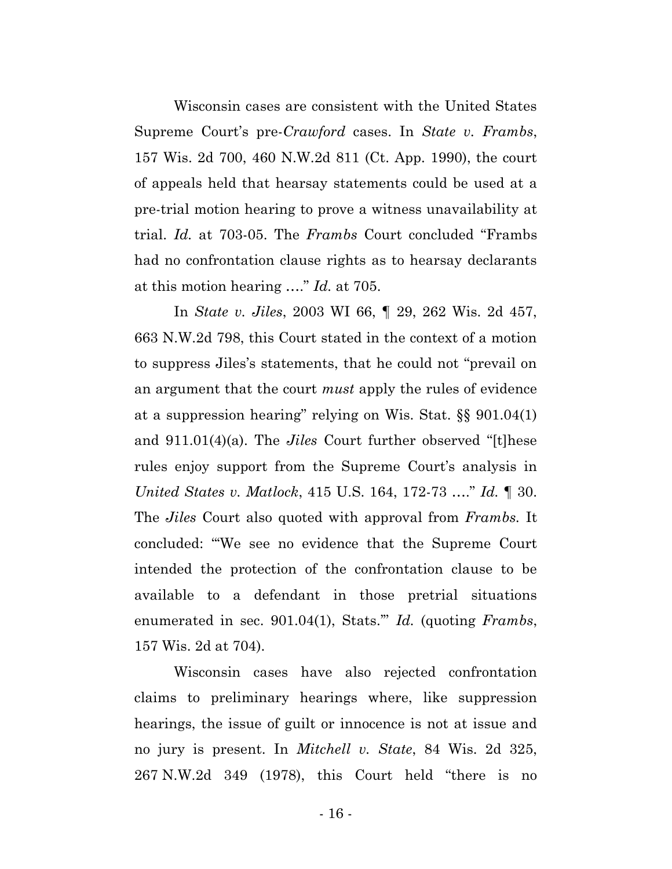Wisconsin cases are consistent with the United States Supreme Court's pre-*Crawford* cases. In *State v. Frambs*, 157 Wis. 2d 700, 460 N.W.2d 811 (Ct. App. 1990), the court of appeals held that hearsay statements could be used at a pre-trial motion hearing to prove a witness unavailability at trial. *Id.* at 703-05. The *Frambs* Court concluded "Frambs had no confrontation clause rights as to hearsay declarants at this motion hearing …." *Id.* at 705.

In *State v. Jiles*, 2003 WI 66, ¶ 29, 262 Wis. 2d 457, 663 N.W.2d 798, this Court stated in the context of a motion to suppress Jiles's statements, that he could not "prevail on an argument that the court *must* apply the rules of evidence at a suppression hearing" relying on Wis. Stat. §§ 901.04(1) and 911.01(4)(a). The *Jiles* Court further observed "[t]hese rules enjoy support from the Supreme Court's analysis in *United States v. Matlock*, 415 U.S. 164, 172-73 …." *Id.* ¶ 30. The *Jiles* Court also quoted with approval from *Frambs.* It concluded: "'We see no evidence that the Supreme Court intended the protection of the confrontation clause to be available to a defendant in those pretrial situations enumerated in sec. 901.04(1), Stats.'" *Id.* (quoting *Frambs*, 157 Wis. 2d at 704).

Wisconsin cases have also rejected confrontation claims to preliminary hearings where, like suppression hearings, the issue of guilt or innocence is not at issue and no jury is present. In *Mitchell v. State*, 84 Wis. 2d 325, 267 N.W.2d 349 (1978), this Court held "there is no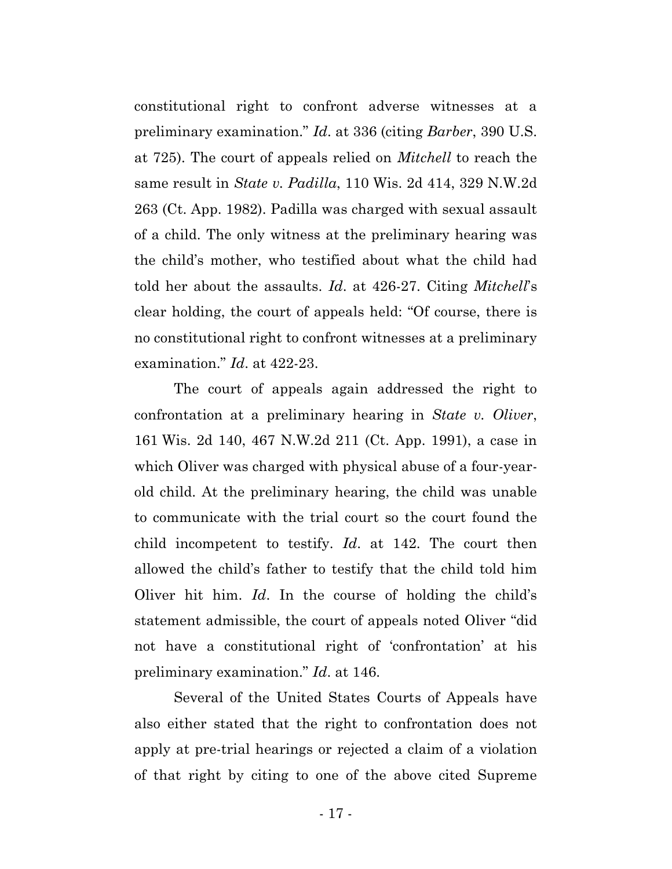constitutional right to confront adverse witnesses at a preliminary examination." *Id*. at 336 (citing *Barber*, 390 U.S. at 725). The court of appeals relied on *Mitchell* to reach the same result in *State v. Padilla*, 110 Wis. 2d 414, 329 N.W.2d 263 (Ct. App. 1982). Padilla was charged with sexual assault of a child. The only witness at the preliminary hearing was the child's mother, who testified about what the child had told her about the assaults. *Id*. at 426-27. Citing *Mitchell*'s clear holding, the court of appeals held: "Of course, there is no constitutional right to confront witnesses at a preliminary examination." *Id*. at 422-23.

The court of appeals again addressed the right to confrontation at a preliminary hearing in *State v. Oliver*, 161 Wis. 2d 140, 467 N.W.2d 211 (Ct. App. 1991), a case in which Oliver was charged with physical abuse of a four-yearold child. At the preliminary hearing, the child was unable to communicate with the trial court so the court found the child incompetent to testify. *Id*. at 142. The court then allowed the child's father to testify that the child told him Oliver hit him. *Id*. In the course of holding the child's statement admissible, the court of appeals noted Oliver "did not have a constitutional right of 'confrontation' at his preliminary examination." *Id*. at 146.

Several of the United States Courts of Appeals have also either stated that the right to confrontation does not apply at pre-trial hearings or rejected a claim of a violation of that right by citing to one of the above cited Supreme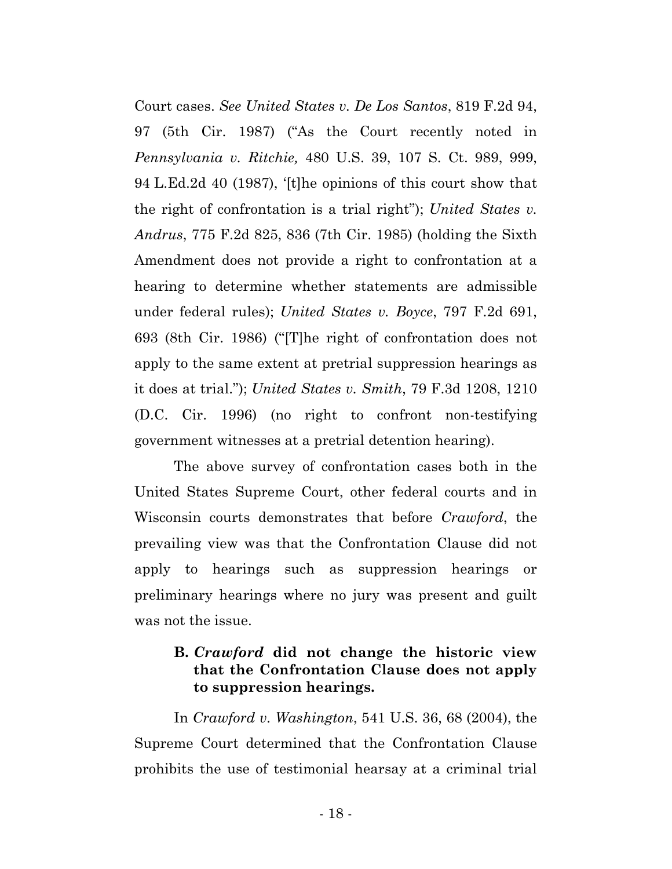Court cases. *See United States v. De Los Santos*, 819 F.2d 94, 97 (5th Cir. 1987) ("As the Court recently noted in *Pennsylvania v. Ritchie,* 480 U.S. 39, 107 S. Ct. 989, 999, 94 L.Ed.2d 40 (1987), '[t]he opinions of this court show that the right of confrontation is a trial right"); *United States v. Andrus*, 775 F.2d 825, 836 (7th Cir. 1985) (holding the Sixth Amendment does not provide a right to confrontation at a hearing to determine whether statements are admissible under federal rules); *United States v. Boyce*, 797 F.2d 691, 693 (8th Cir. 1986) ("[T]he right of confrontation does not apply to the same extent at pretrial suppression hearings as it does at trial."); *United States v. Smith*, 79 F.3d 1208, 1210 (D.C. Cir. 1996) (no right to confront non-testifying government witnesses at a pretrial detention hearing).

The above survey of confrontation cases both in the United States Supreme Court, other federal courts and in Wisconsin courts demonstrates that before *Crawford*, the prevailing view was that the Confrontation Clause did not apply to hearings such as suppression hearings or preliminary hearings where no jury was present and guilt was not the issue.

# **B.** *Crawford* **did not change the historic view that the Confrontation Clause does not apply to suppression hearings.**

In *Crawford v. Washington*, 541 U.S. 36, 68 (2004), the Supreme Court determined that the Confrontation Clause prohibits the use of testimonial hearsay at a criminal trial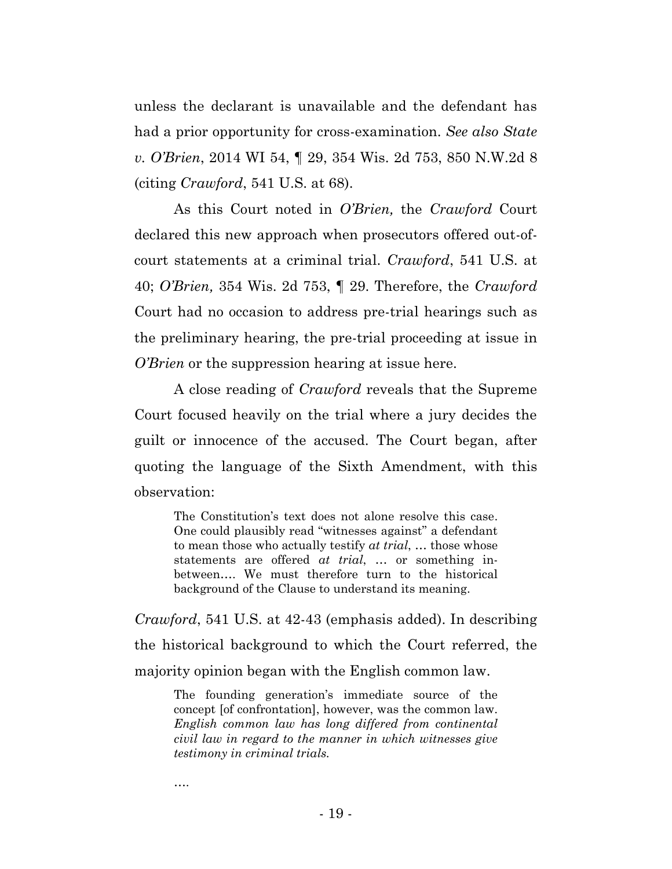unless the declarant is unavailable and the defendant has had a prior opportunity for cross-examination. *See also State v. O'Brien*, 2014 WI 54, ¶ 29, 354 Wis. 2d 753, 850 N.W.2d 8 (citing *Crawford*, 541 U.S. at 68).

As this Court noted in *O'Brien,* the *Crawford* Court declared this new approach when prosecutors offered out-ofcourt statements at a criminal trial. *Crawford*, 541 U.S. at 40; *O'Brien,* 354 Wis. 2d 753, ¶ 29. Therefore, the *Crawford* Court had no occasion to address pre-trial hearings such as the preliminary hearing, the pre-trial proceeding at issue in *O'Brien* or the suppression hearing at issue here.

A close reading of *Crawford* reveals that the Supreme Court focused heavily on the trial where a jury decides the guilt or innocence of the accused. The Court began, after quoting the language of the Sixth Amendment, with this observation:

The Constitution's text does not alone resolve this case. One could plausibly read "witnesses against" a defendant to mean those who actually testify *at trial*, … those whose statements are offered *at trial*, … or something inbetween…. We must therefore turn to the historical background of the Clause to understand its meaning.

*Crawford*, 541 U.S. at 42-43 (emphasis added). In describing the historical background to which the Court referred, the majority opinion began with the English common law.

The founding generation's immediate source of the concept [of confrontation], however, was the common law. *English common law has long differed from continental civil law in regard to the manner in which witnesses give testimony in criminal trials.*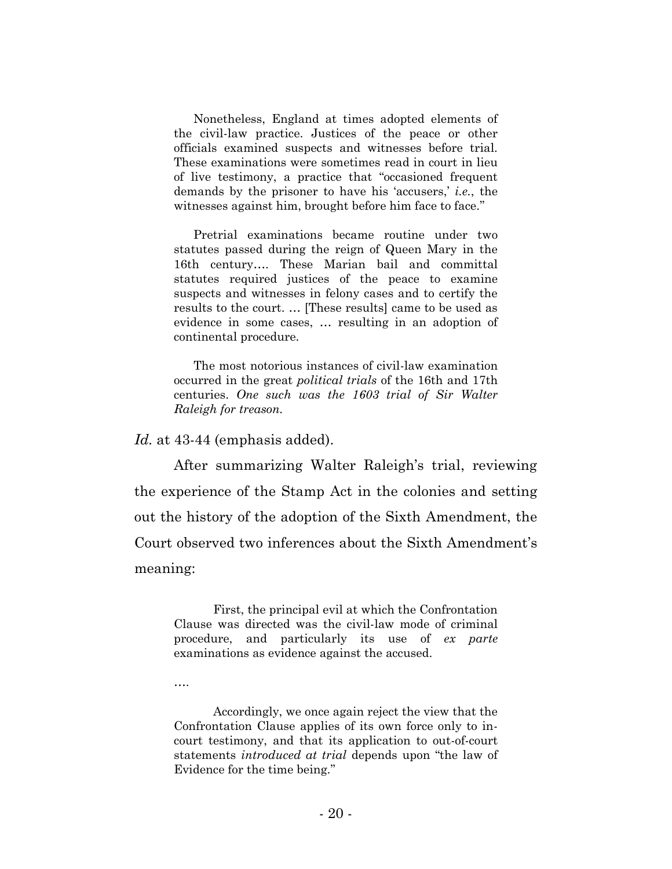Nonetheless, England at times adopted elements of the civil-law practice. Justices of the peace or other officials examined suspects and witnesses before trial. These examinations were sometimes read in court in lieu of live testimony, a practice that "occasioned frequent demands by the prisoner to have his 'accusers,' *i.e.*, the witnesses against him, brought before him face to face."

Pretrial examinations became routine under two statutes passed during the reign of Queen Mary in the 16th century…. These Marian bail and committal statutes required justices of the peace to examine suspects and witnesses in felony cases and to certify the results to the court. … [These results] came to be used as evidence in some cases, … resulting in an adoption of continental procedure.

The most notorious instances of civil-law examination occurred in the great *political trials* of the 16th and 17th centuries. *One such was the 1603 trial of Sir Walter Raleigh for treason.*

*Id.* at 43-44 (emphasis added).

After summarizing Walter Raleigh's trial, reviewing the experience of the Stamp Act in the colonies and setting out the history of the adoption of the Sixth Amendment, the Court observed two inferences about the Sixth Amendment's meaning:

First, the principal evil at which the Confrontation Clause was directed was the civil-law mode of criminal procedure, and particularly its use of *ex parte*  examinations as evidence against the accused.

….

Accordingly, we once again reject the view that the Confrontation Clause applies of its own force only to incourt testimony, and that its application to out-of-court statements *introduced at trial* depends upon "the law of Evidence for the time being."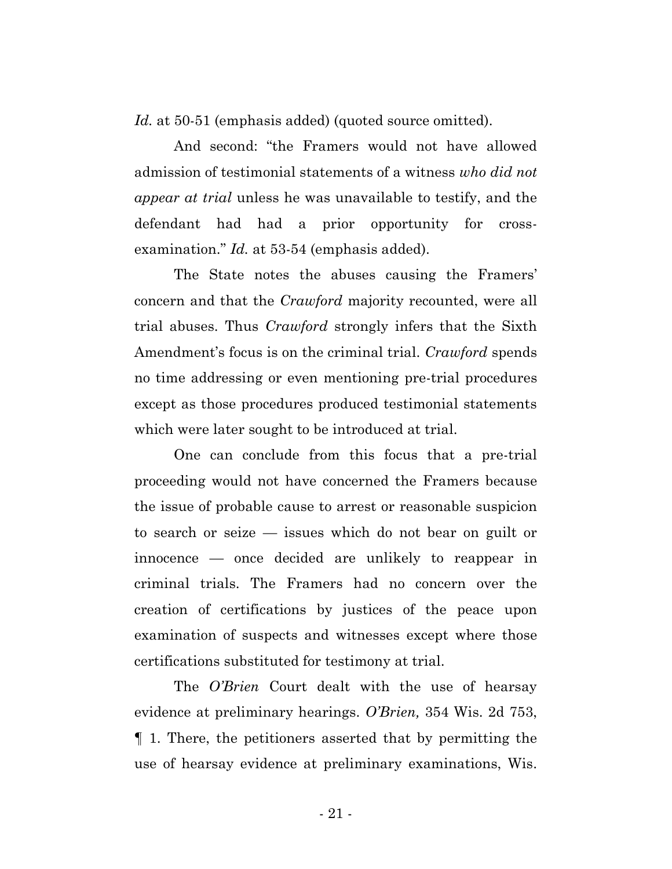*Id.* at 50-51 (emphasis added) (quoted source omitted).

And second: "the Framers would not have allowed admission of testimonial statements of a witness *who did not appear at trial* unless he was unavailable to testify, and the defendant had had a prior opportunity for crossexamination." *Id.* at 53-54 (emphasis added).

The State notes the abuses causing the Framers' concern and that the *Crawford* majority recounted, were all trial abuses. Thus *Crawford* strongly infers that the Sixth Amendment's focus is on the criminal trial. *Crawford* spends no time addressing or even mentioning pre-trial procedures except as those procedures produced testimonial statements which were later sought to be introduced at trial.

One can conclude from this focus that a pre-trial proceeding would not have concerned the Framers because the issue of probable cause to arrest or reasonable suspicion to search or seize — issues which do not bear on guilt or innocence — once decided are unlikely to reappear in criminal trials. The Framers had no concern over the creation of certifications by justices of the peace upon examination of suspects and witnesses except where those certifications substituted for testimony at trial.

The *O'Brien* Court dealt with the use of hearsay evidence at preliminary hearings. *O'Brien,* 354 Wis. 2d 753, ¶ 1. There, the petitioners asserted that by permitting the use of hearsay evidence at preliminary examinations, Wis.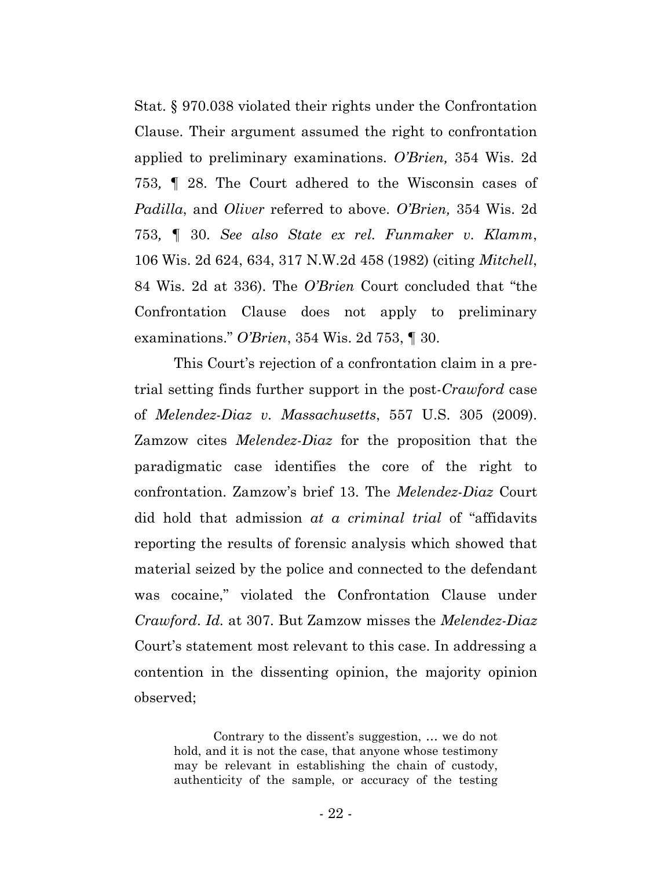Stat. § 970.038 violated their rights under the Confrontation Clause. Their argument assumed the right to confrontation applied to preliminary examinations. *O'Brien,* 354 Wis. 2d 753*, ¶* 28. The Court adhered to the Wisconsin cases of *Padilla*, and *Oliver* referred to above. *O'Brien,* 354 Wis. 2d 753*, ¶* 30. *See also State ex rel. Funmaker v. Klamm*, 106 Wis. 2d 624, 634, 317 N.W.2d 458 (1982) (citing *Mitchell*, 84 Wis. 2d at 336). The *O'Brien* Court concluded that "the Confrontation Clause does not apply to preliminary examinations." *O'Brien*, 354 Wis. 2d 753, ¶ 30.

This Court's rejection of a confrontation claim in a pretrial setting finds further support in the post-*Crawford* case of *Melendez-Diaz v. Massachusetts*, 557 U.S. 305 (2009). Zamzow cites *Melendez-Diaz* for the proposition that the paradigmatic case identifies the core of the right to confrontation. Zamzow's brief 13. The *Melendez-Diaz* Court did hold that admission *at a criminal trial* of "affidavits reporting the results of forensic analysis which showed that material seized by the police and connected to the defendant was cocaine," violated the Confrontation Clause under *Crawford*. *Id.* at 307. But Zamzow misses the *Melendez-Diaz* Court's statement most relevant to this case. In addressing a contention in the dissenting opinion, the majority opinion observed;

Contrary to the dissent's suggestion, … we do not hold, and it is not the case, that anyone whose testimony may be relevant in establishing the chain of custody, authenticity of the sample, or accuracy of the testing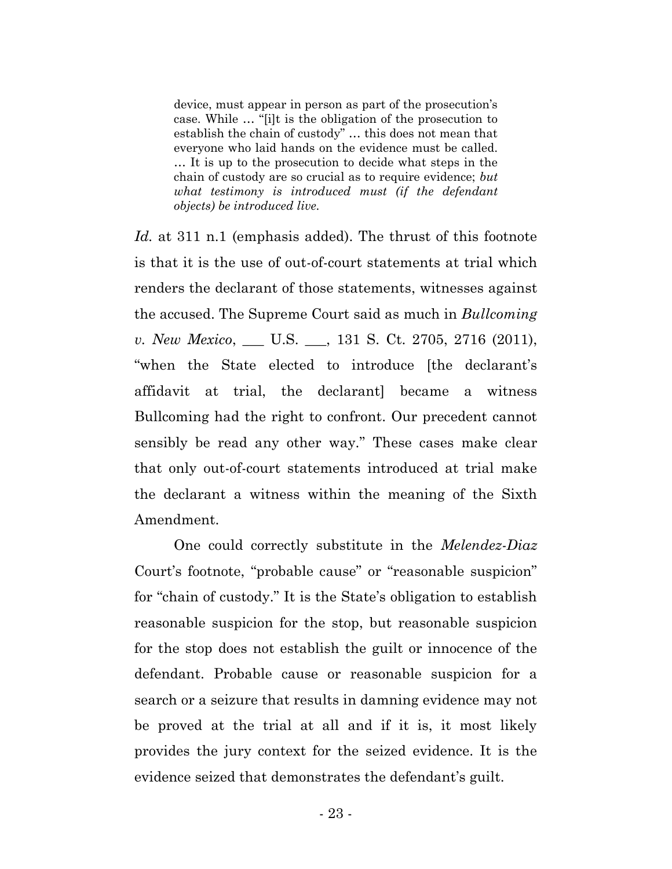device, must appear in person as part of the prosecution's case. While … "[i]t is the obligation of the prosecution to establish the chain of custody" … this does not mean that everyone who laid hands on the evidence must be called. … It is up to the prosecution to decide what steps in the chain of custody are so crucial as to require evidence; *but what testimony is introduced must (if the defendant objects) be introduced live.*

*Id.* at 311 n.1 (emphasis added). The thrust of this footnote is that it is the use of out-of-court statements at trial which renders the declarant of those statements, witnesses against the accused. The Supreme Court said as much in *Bullcoming v. New Mexico*, \_\_\_ U.S. \_\_\_, 131 S. Ct. 2705, 2716 (2011), "when the State elected to introduce [the declarant's affidavit at trial, the declarant] became a witness Bullcoming had the right to confront. Our precedent cannot sensibly be read any other way." These cases make clear that only out-of-court statements introduced at trial make the declarant a witness within the meaning of the Sixth Amendment.

One could correctly substitute in the *Melendez-Diaz* Court's footnote, "probable cause" or "reasonable suspicion" for "chain of custody." It is the State's obligation to establish reasonable suspicion for the stop, but reasonable suspicion for the stop does not establish the guilt or innocence of the defendant. Probable cause or reasonable suspicion for a search or a seizure that results in damning evidence may not be proved at the trial at all and if it is, it most likely provides the jury context for the seized evidence. It is the evidence seized that demonstrates the defendant's guilt.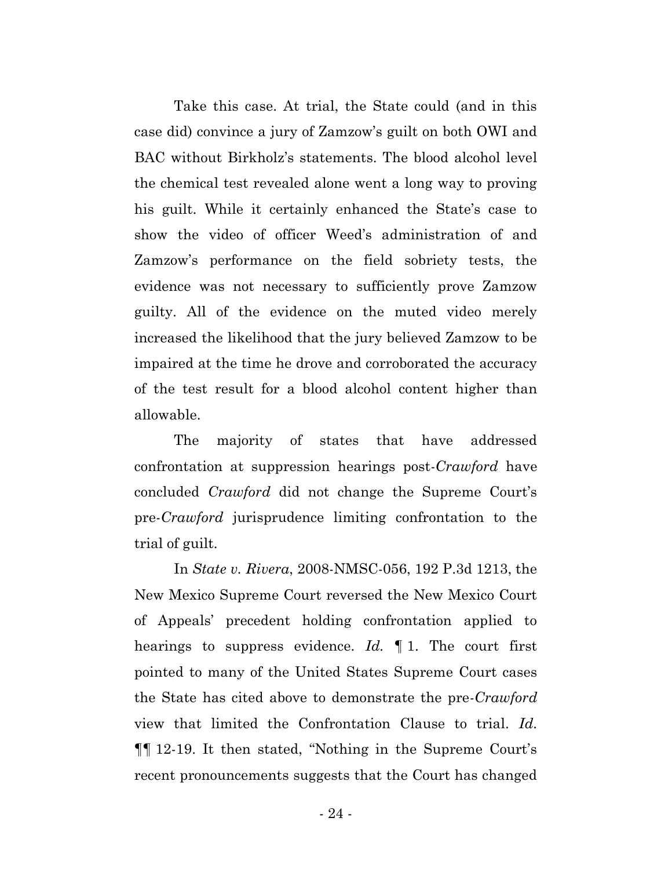Take this case. At trial, the State could (and in this case did) convince a jury of Zamzow's guilt on both OWI and BAC without Birkholz's statements. The blood alcohol level the chemical test revealed alone went a long way to proving his guilt. While it certainly enhanced the State's case to show the video of officer Weed's administration of and Zamzow's performance on the field sobriety tests, the evidence was not necessary to sufficiently prove Zamzow guilty. All of the evidence on the muted video merely increased the likelihood that the jury believed Zamzow to be impaired at the time he drove and corroborated the accuracy of the test result for a blood alcohol content higher than allowable.

The majority of states that have addressed confrontation at suppression hearings post-*Crawford* have concluded *Crawford* did not change the Supreme Court's pre-*Crawford* jurisprudence limiting confrontation to the trial of guilt.

In *State v. Rivera*, 2008-NMSC-056, 192 P.3d 1213, the New Mexico Supreme Court reversed the New Mexico Court of Appeals' precedent holding confrontation applied to hearings to suppress evidence. *Id.* ¶ 1. The court first pointed to many of the United States Supreme Court cases the State has cited above to demonstrate the pre-*Crawford* view that limited the Confrontation Clause to trial. *Id.* ¶¶ 12-19. It then stated, "Nothing in the Supreme Court's recent pronouncements suggests that the Court has changed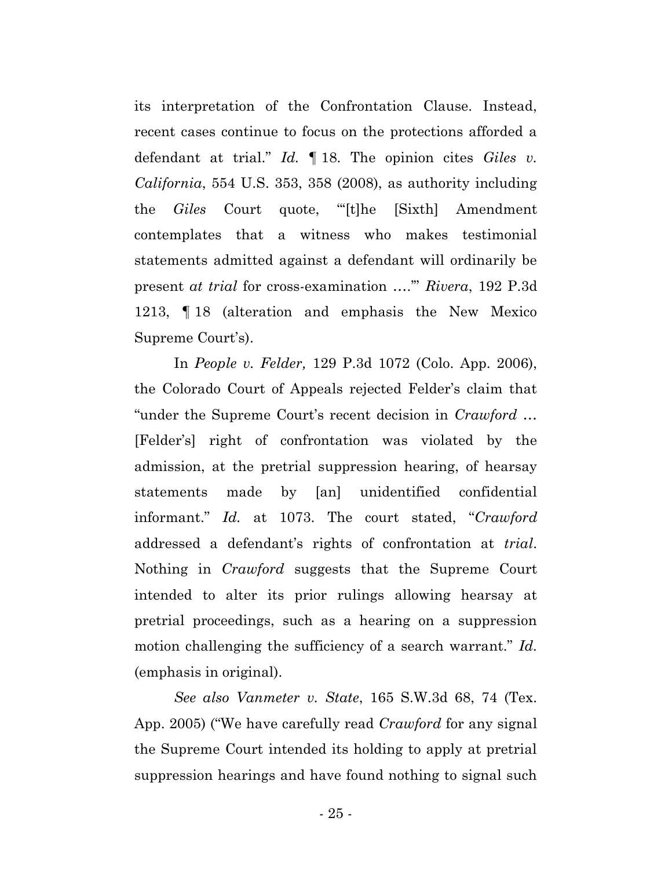its interpretation of the Confrontation Clause. Instead, recent cases continue to focus on the protections afforded a defendant at trial." *Id.* ¶ 18. The opinion cites *Giles v. California*, 554 U.S. 353, 358 (2008), as authority including the *Giles* Court quote, "'[t]he [Sixth] Amendment contemplates that a witness who makes testimonial statements admitted against a defendant will ordinarily be present *at trial* for cross-examination ….'" *Rivera*, 192 P.3d 1213, ¶ 18 (alteration and emphasis the New Mexico Supreme Court's).

In *People v. Felder,* 129 P.3d 1072 (Colo. App. 2006), the Colorado Court of Appeals rejected Felder's claim that "under the Supreme Court's recent decision in *Crawford* … [Felder's] right of confrontation was violated by the admission, at the pretrial suppression hearing, of hearsay statements made by [an] unidentified confidential informant." *Id.* at 1073. The court stated, "*Crawford* addressed a defendant's rights of confrontation at *trial*. Nothing in *Crawford* suggests that the Supreme Court intended to alter its prior rulings allowing hearsay at pretrial proceedings, such as a hearing on a suppression motion challenging the sufficiency of a search warrant." *Id.* (emphasis in original).

*See also Vanmeter v. State*, 165 S.W.3d 68, 74 (Tex. App. 2005) ("We have carefully read *Crawford* for any signal the Supreme Court intended its holding to apply at pretrial suppression hearings and have found nothing to signal such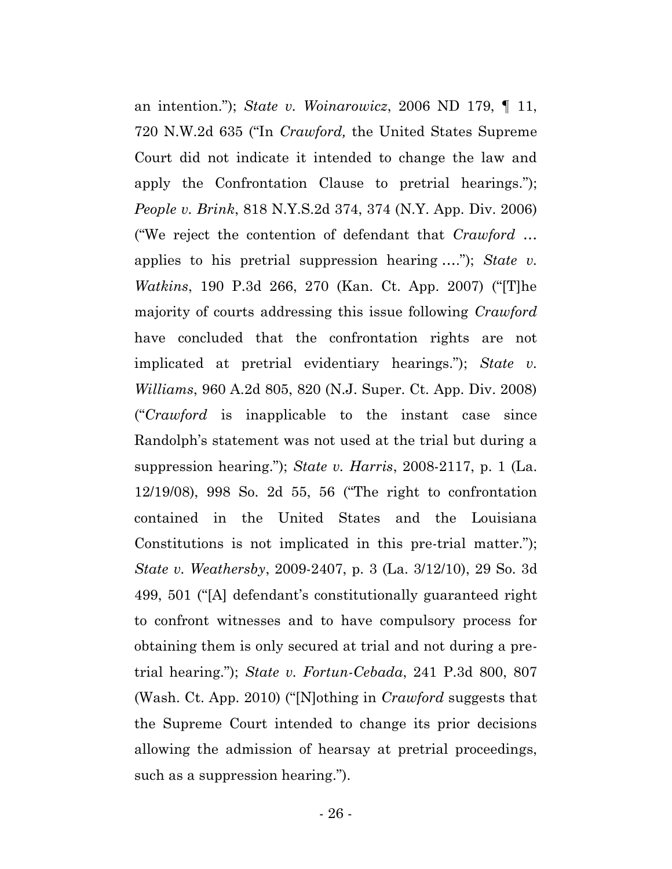an intention."); *State v. Woinarowicz*, 2006 ND 179, ¶ 11, 720 N.W.2d 635 ("In *Crawford,* the United States Supreme Court did not indicate it intended to change the law and apply the Confrontation Clause to pretrial hearings."); *People v. Brink*, 818 N.Y.S.2d 374, 374 (N.Y. App. Div. 2006) ("We reject the contention of defendant that *Crawford* … applies to his pretrial suppression hearing …."); *State v. Watkins*, 190 P.3d 266, 270 (Kan. Ct. App. 2007) ("[T]he majority of courts addressing this issue following *Crawford* have concluded that the confrontation rights are not implicated at pretrial evidentiary hearings."); *State v. Williams*, 960 A.2d 805, 820 (N.J. Super. Ct. App. Div. 2008) ("*Crawford* is inapplicable to the instant case since Randolph's statement was not used at the trial but during a suppression hearing."); *State v. Harris*, 2008-2117, p. 1 (La. 12/19/08), 998 So. 2d 55, 56 ("The right to confrontation contained in the United States and the Louisiana Constitutions is not implicated in this pre-trial matter."); *State v. Weathersby*, 2009-2407, p. 3 (La. 3/12/10), 29 So. 3d 499, 501 ("[A] defendant's constitutionally guaranteed right to confront witnesses and to have compulsory process for obtaining them is only secured at trial and not during a pretrial hearing."); *State v. Fortun-Cebada*, 241 P.3d 800, 807 (Wash. Ct. App. 2010) ("[N]othing in *Crawford* suggests that the Supreme Court intended to change its prior decisions allowing the admission of hearsay at pretrial proceedings, such as a suppression hearing.").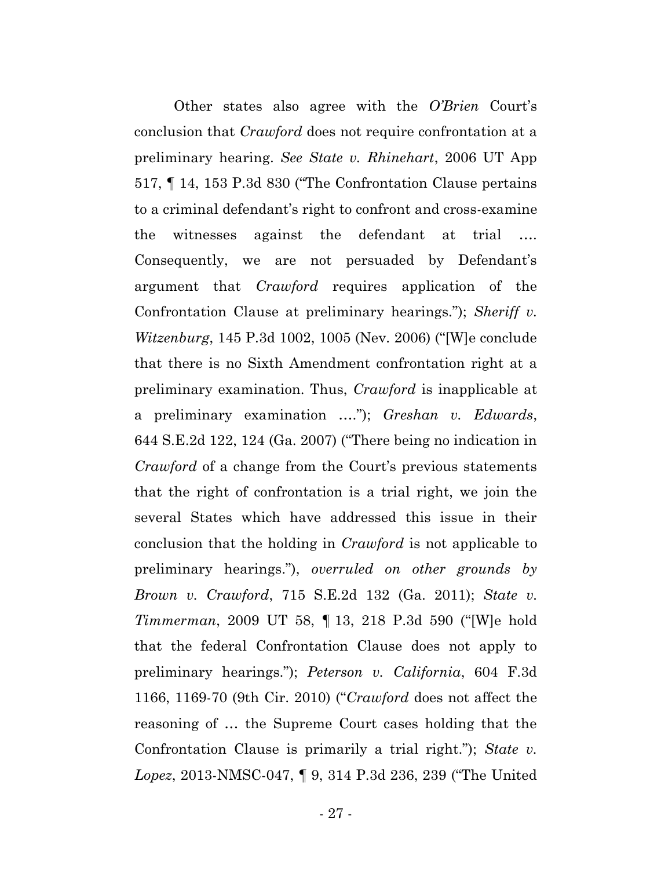Other states also agree with the *O'Brien* Court's conclusion that *Crawford* does not require confrontation at a preliminary hearing. *See State v. Rhinehart*, 2006 UT App 517, ¶ 14, 153 P.3d 830 ("The Confrontation Clause pertains to a criminal defendant's right to confront and cross-examine the witnesses against the defendant at trial …. Consequently, we are not persuaded by Defendant's argument that *Crawford* requires application of the Confrontation Clause at preliminary hearings."); *Sheriff v. Witzenburg*, 145 P.3d 1002, 1005 (Nev. 2006) ("[W]e conclude that there is no Sixth Amendment confrontation right at a preliminary examination. Thus, *Crawford* is inapplicable at a preliminary examination …."); *Greshan v. Edwards*, 644 S.E.2d 122, 124 (Ga. 2007) ("There being no indication in *Crawford* of a change from the Court's previous statements that the right of confrontation is a trial right, we join the several States which have addressed this issue in their conclusion that the holding in *Crawford* is not applicable to preliminary hearings."), *overruled on other grounds by Brown v. Crawford*, 715 S.E.2d 132 (Ga. 2011); *State v. Timmerman*, 2009 UT 58, ¶ 13, 218 P.3d 590 ("[W]e hold that the federal Confrontation Clause does not apply to preliminary hearings."); *Peterson v. California*, 604 F.3d 1166, 1169-70 (9th Cir. 2010) ("*Crawford* does not affect the reasoning of … the Supreme Court cases holding that the Confrontation Clause is primarily a trial right."); *State v. Lopez*, 2013-NMSC-047, ¶ 9, 314 P.3d 236, 239 ("The United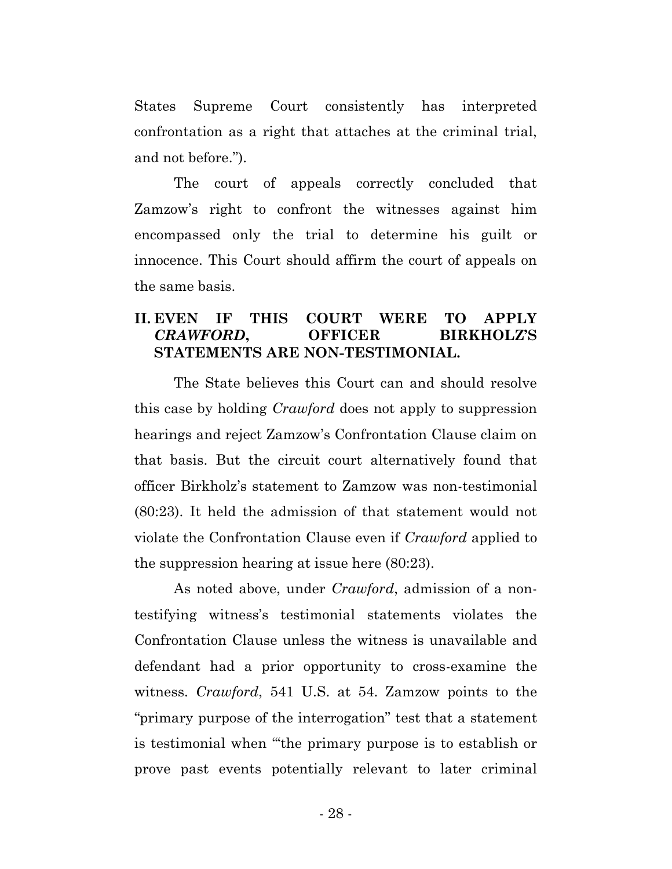States Supreme Court consistently has interpreted confrontation as a right that attaches at the criminal trial, and not before.").

The court of appeals correctly concluded that Zamzow's right to confront the witnesses against him encompassed only the trial to determine his guilt or innocence. This Court should affirm the court of appeals on the same basis.

# **II. EVEN IF THIS COURT WERE TO APPLY**  *CRAWFORD***, OFFICER BIRKHOLZ'S STATEMENTS ARE NON-TESTIMONIAL.**

The State believes this Court can and should resolve this case by holding *Crawford* does not apply to suppression hearings and reject Zamzow's Confrontation Clause claim on that basis. But the circuit court alternatively found that officer Birkholz's statement to Zamzow was non-testimonial (80:23). It held the admission of that statement would not violate the Confrontation Clause even if *Crawford* applied to the suppression hearing at issue here (80:23).

As noted above, under *Crawford*, admission of a nontestifying witness's testimonial statements violates the Confrontation Clause unless the witness is unavailable and defendant had a prior opportunity to cross-examine the witness. *Crawford*, 541 U.S. at 54. Zamzow points to the "primary purpose of the interrogation" test that a statement is testimonial when "'the primary purpose is to establish or prove past events potentially relevant to later criminal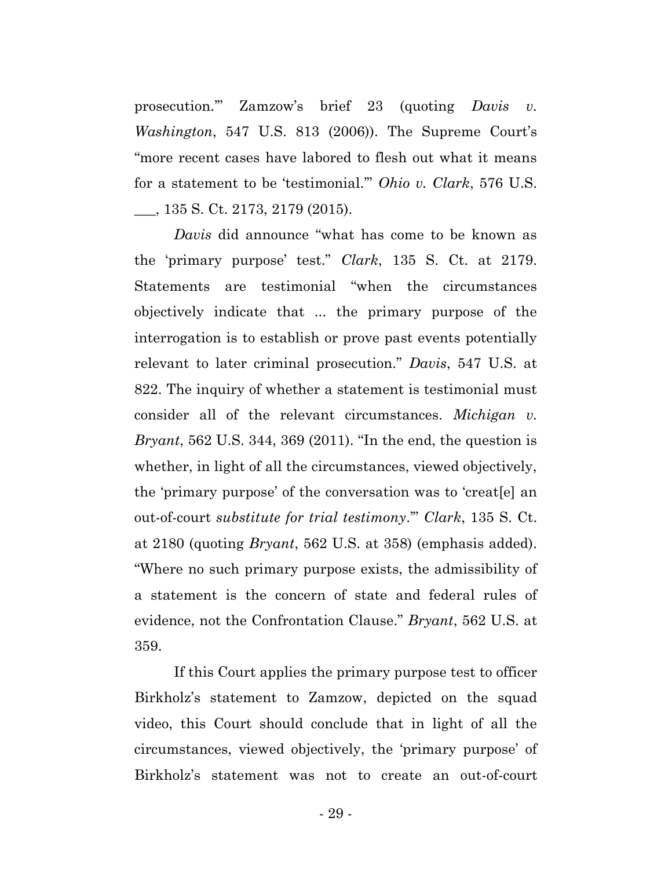prosecution.'" Zamzow's brief 23 (quoting *Davis v. Washington*, 547 U.S. 813 (2006)). The Supreme Court's "more recent cases have labored to flesh out what it means for a statement to be 'testimonial.'" *Ohio v. Clark*, 576 U.S. \_\_\_, 135 S. Ct. 2173, 2179 (2015).

*Davis* did announce "what has come to be known as the 'primary purpose' test." *Clark*, 135 S. Ct. at 2179. Statements are testimonial "when the circumstances objectively indicate that ... the primary purpose of the interrogation is to establish or prove past events potentially relevant to later criminal prosecution." *Davis*, 547 U.S. at 822. The inquiry of whether a statement is testimonial must consider all of the relevant circumstances. *Michigan v. Bryant*, 562 U.S. 344, 369 (2011). "In the end, the question is whether, in light of all the circumstances, viewed objectively, the 'primary purpose' of the conversation was to 'creat[e] an out-of-court *substitute for trial testimony*.'" *Clark*, 135 S. Ct. at 2180 (quoting *Bryant*, 562 U.S. at 358) (emphasis added). "Where no such primary purpose exists, the admissibility of a statement is the concern of state and federal rules of evidence, not the Confrontation Clause." *Bryant*, 562 U.S. at 359.

If this Court applies the primary purpose test to officer Birkholz's statement to Zamzow, depicted on the squad video, this Court should conclude that in light of all the circumstances, viewed objectively, the 'primary purpose' of Birkholz's statement was not to create an out-of-court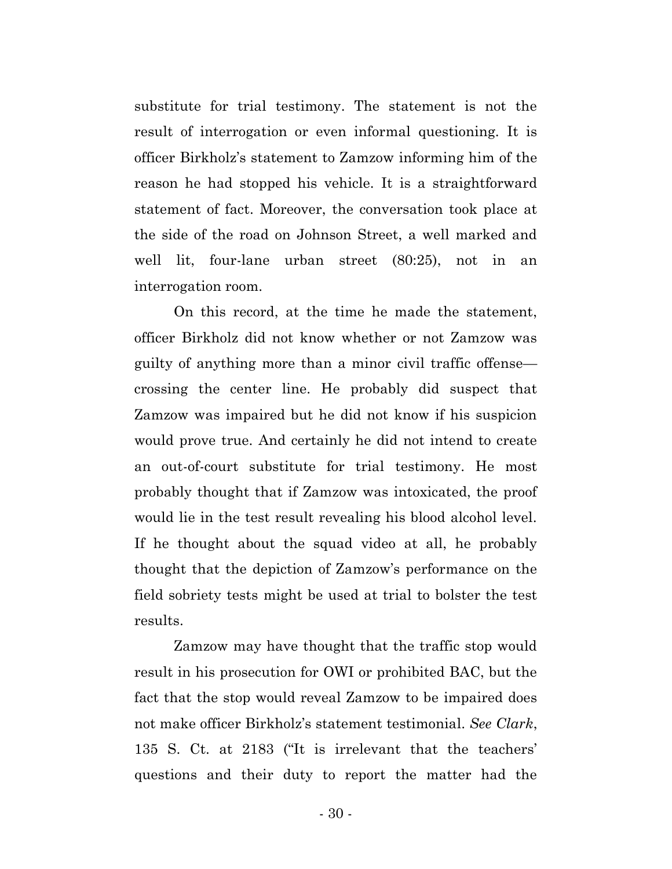substitute for trial testimony. The statement is not the result of interrogation or even informal questioning. It is officer Birkholz's statement to Zamzow informing him of the reason he had stopped his vehicle. It is a straightforward statement of fact. Moreover, the conversation took place at the side of the road on Johnson Street, a well marked and well lit, four-lane urban street (80:25), not in an interrogation room.

On this record, at the time he made the statement, officer Birkholz did not know whether or not Zamzow was guilty of anything more than a minor civil traffic offense crossing the center line. He probably did suspect that Zamzow was impaired but he did not know if his suspicion would prove true. And certainly he did not intend to create an out-of-court substitute for trial testimony. He most probably thought that if Zamzow was intoxicated, the proof would lie in the test result revealing his blood alcohol level. If he thought about the squad video at all, he probably thought that the depiction of Zamzow's performance on the field sobriety tests might be used at trial to bolster the test results.

Zamzow may have thought that the traffic stop would result in his prosecution for OWI or prohibited BAC, but the fact that the stop would reveal Zamzow to be impaired does not make officer Birkholz's statement testimonial. *See Clark*, 135 S. Ct. at 2183 ("It is irrelevant that the teachers' questions and their duty to report the matter had the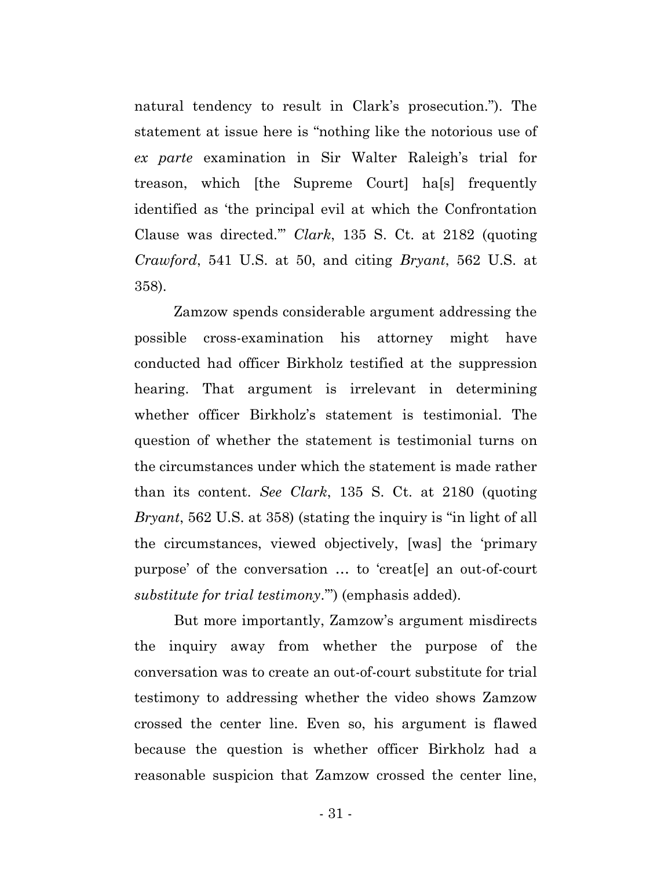natural tendency to result in Clark's prosecution."). The statement at issue here is "nothing like the notorious use of *ex parte* examination in Sir Walter Raleigh's trial for treason, which [the Supreme Court] ha[s] frequently identified as 'the principal evil at which the Confrontation Clause was directed.'" *Clark*, 135 S. Ct. at 2182 (quoting *Crawford*, 541 U.S. at 50, and citing *Bryant*, 562 U.S. at 358).

Zamzow spends considerable argument addressing the possible cross-examination his attorney might have conducted had officer Birkholz testified at the suppression hearing. That argument is irrelevant in determining whether officer Birkholz's statement is testimonial. The question of whether the statement is testimonial turns on the circumstances under which the statement is made rather than its content. *See Clark*, 135 S. Ct. at 2180 (quoting *Bryant*, 562 U.S. at 358) (stating the inquiry is "in light of all the circumstances, viewed objectively, [was] the 'primary purpose' of the conversation … to 'creat[e] an out-of-court *substitute for trial testimony*.'") (emphasis added).

But more importantly, Zamzow's argument misdirects the inquiry away from whether the purpose of the conversation was to create an out-of-court substitute for trial testimony to addressing whether the video shows Zamzow crossed the center line. Even so, his argument is flawed because the question is whether officer Birkholz had a reasonable suspicion that Zamzow crossed the center line,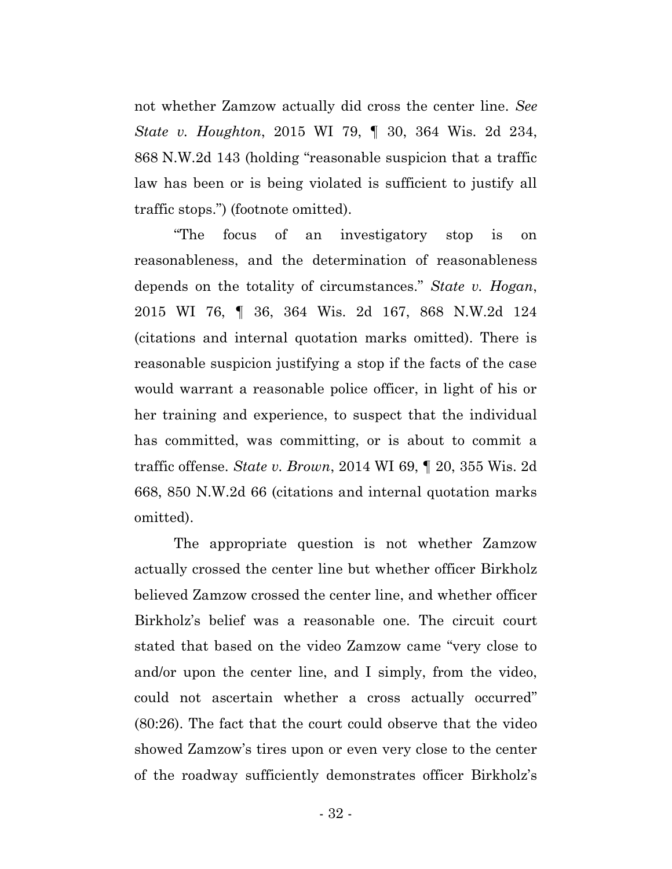not whether Zamzow actually did cross the center line. *See State v. Houghton*, 2015 WI 79, ¶ 30, 364 Wis. 2d 234, 868 N.W.2d 143 (holding "reasonable suspicion that a traffic law has been or is being violated is sufficient to justify all traffic stops.") (footnote omitted).

"The focus of an investigatory stop is on reasonableness, and the determination of reasonableness depends on the totality of circumstances." *State v. Hogan*, 2015 WI 76, ¶ 36, 364 Wis. 2d 167, 868 N.W.2d 124 (citations and internal quotation marks omitted). There is reasonable suspicion justifying a stop if the facts of the case would warrant a reasonable police officer, in light of his or her training and experience, to suspect that the individual has committed, was committing, or is about to commit a traffic offense. *State v. Brown*, 2014 WI 69, ¶ 20, 355 Wis. 2d 668, 850 N.W.2d 66 (citations and internal quotation marks omitted).

The appropriate question is not whether Zamzow actually crossed the center line but whether officer Birkholz believed Zamzow crossed the center line, and whether officer Birkholz's belief was a reasonable one. The circuit court stated that based on the video Zamzow came "very close to and/or upon the center line, and I simply, from the video, could not ascertain whether a cross actually occurred" (80:26). The fact that the court could observe that the video showed Zamzow's tires upon or even very close to the center of the roadway sufficiently demonstrates officer Birkholz's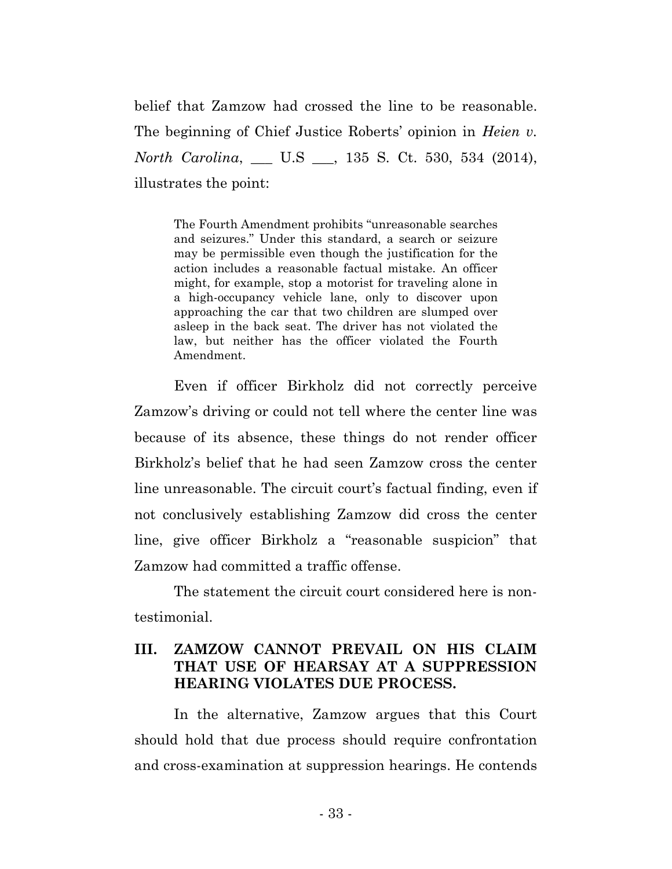belief that Zamzow had crossed the line to be reasonable. The beginning of Chief Justice Roberts' opinion in *Heien v. North Carolina*, \_\_\_ U.S \_\_\_, 135 S. Ct. 530, 534 (2014), illustrates the point:

The Fourth Amendment prohibits "unreasonable searches and seizures." Under this standard, a search or seizure may be permissible even though the justification for the action includes a reasonable factual mistake. An officer might, for example, stop a motorist for traveling alone in a high-occupancy vehicle lane, only to discover upon approaching the car that two children are slumped over asleep in the back seat. The driver has not violated the law, but neither has the officer violated the Fourth Amendment.

Even if officer Birkholz did not correctly perceive Zamzow's driving or could not tell where the center line was because of its absence, these things do not render officer Birkholz's belief that he had seen Zamzow cross the center line unreasonable. The circuit court's factual finding, even if not conclusively establishing Zamzow did cross the center line, give officer Birkholz a "reasonable suspicion" that Zamzow had committed a traffic offense.

The statement the circuit court considered here is nontestimonial.

# **III. ZAMZOW CANNOT PREVAIL ON HIS CLAIM THAT USE OF HEARSAY AT A SUPPRESSION HEARING VIOLATES DUE PROCESS.**

In the alternative, Zamzow argues that this Court should hold that due process should require confrontation and cross-examination at suppression hearings. He contends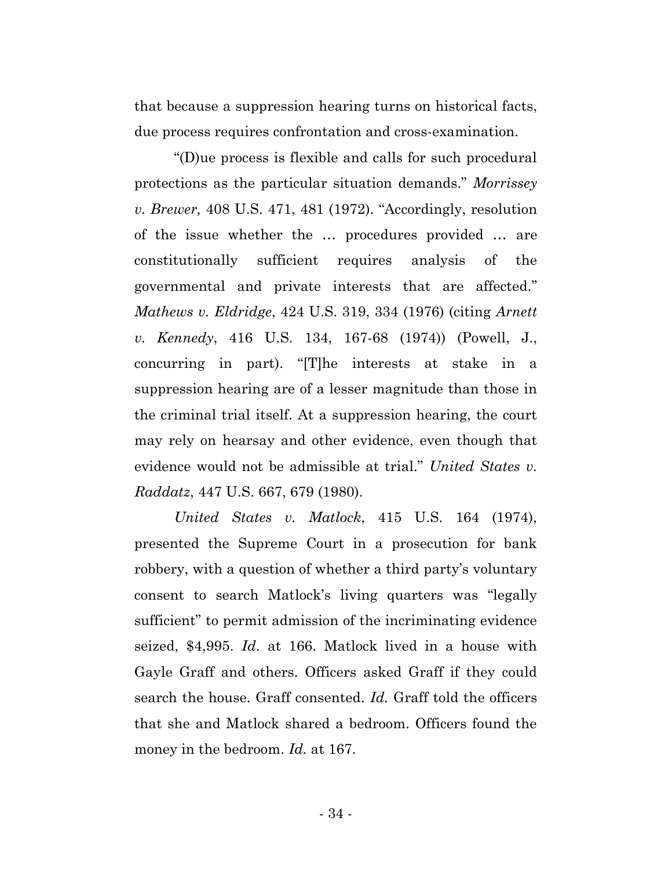that because a suppression hearing turns on historical facts, due process requires confrontation and cross-examination.

"(D)ue process is flexible and calls for such procedural protections as the particular situation demands." *Morrissey v. Brewer,* 408 U.S. 471, 481 (1972). "Accordingly, resolution of the issue whether the … procedures provided … are constitutionally sufficient requires analysis of the governmental and private interests that are affected." *Mathews v. Eldridge*, 424 U.S. 319, 334 (1976) (citing *Arnett v. Kennedy*, 416 U.S. 134, 167-68 (1974)) (Powell, J., concurring in part). "[T]he interests at stake in a suppression hearing are of a lesser magnitude than those in the criminal trial itself. At a suppression hearing, the court may rely on hearsay and other evidence, even though that evidence would not be admissible at trial." *United States v. Raddatz*, 447 U.S. 667, 679 (1980).

*United States v. Matlock*, 415 U.S. 164 (1974), presented the Supreme Court in a prosecution for bank robbery, with a question of whether a third party's voluntary consent to search Matlock's living quarters was "legally sufficient" to permit admission of the incriminating evidence seized, \$4,995. *Id*. at 166. Matlock lived in a house with Gayle Graff and others. Officers asked Graff if they could search the house. Graff consented. *Id.* Graff told the officers that she and Matlock shared a bedroom. Officers found the money in the bedroom. *Id.* at 167.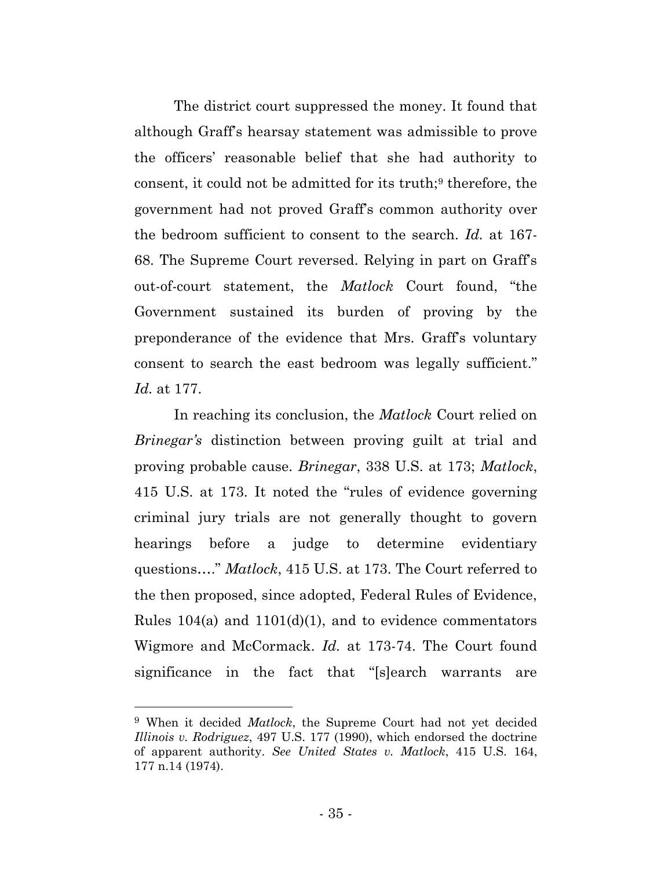The district court suppressed the money. It found that although Graff's hearsay statement was admissible to prove the officers' reasonable belief that she had authority to consent, it could not be admitted for its truth;<sup>9</sup> therefore, the government had not proved Graff's common authority over the bedroom sufficient to consent to the search. *Id.* at 167- 68. The Supreme Court reversed. Relying in part on Graff's out-of-court statement, the *Matlock* Court found, "the Government sustained its burden of proving by the preponderance of the evidence that Mrs. Graff's voluntary consent to search the east bedroom was legally sufficient." *Id.* at 177.

In reaching its conclusion, the *Matlock* Court relied on *Brinegar's* distinction between proving guilt at trial and proving probable cause. *Brinegar*, 338 U.S. at 173; *Matlock*, 415 U.S. at 173. It noted the "rules of evidence governing criminal jury trials are not generally thought to govern hearings before a judge to determine evidentiary questions…." *Matlock*, 415 U.S. at 173. The Court referred to the then proposed, since adopted, Federal Rules of Evidence, Rules  $104(a)$  and  $1101(d)(1)$ , and to evidence commentators Wigmore and McCormack. *Id.* at 173-74. The Court found significance in the fact that "[s]earch warrants are

<sup>9</sup> When it decided *Matlock*, the Supreme Court had not yet decided *Illinois v. Rodriguez*, 497 U.S. 177 (1990), which endorsed the doctrine of apparent authority. *See United States v. Matlock*, 415 U.S. 164, 177 n.14 (1974).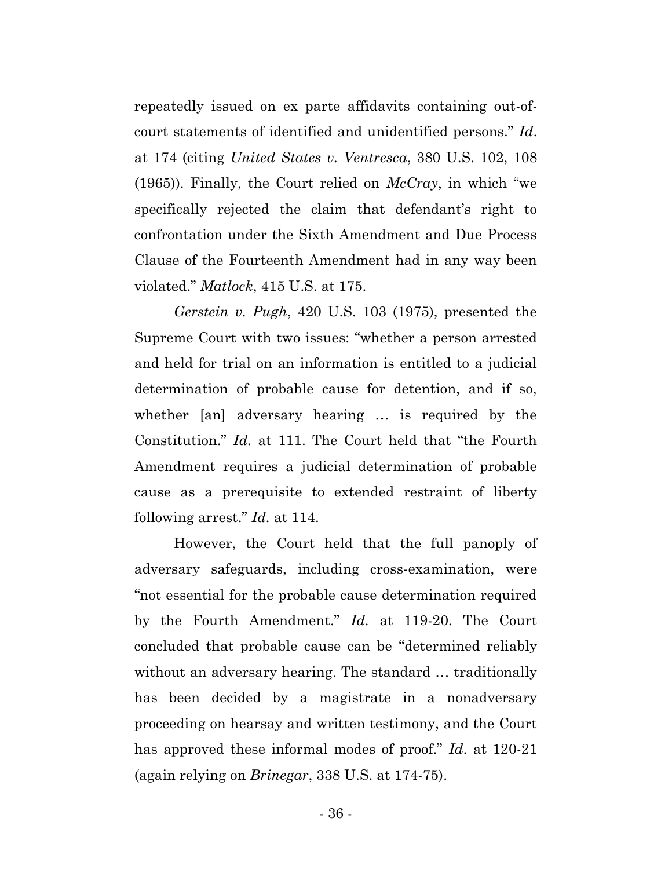repeatedly issued on ex parte affidavits containing out-ofcourt statements of identified and unidentified persons." *Id*. at 174 (citing *United States v. Ventresca*, 380 U.S. 102, 108 (1965)). Finally, the Court relied on *McCray*, in which "we specifically rejected the claim that defendant's right to confrontation under the Sixth Amendment and Due Process Clause of the Fourteenth Amendment had in any way been violated." *Matlock*, 415 U.S. at 175.

*Gerstein v. Pugh*, 420 U.S. 103 (1975), presented the Supreme Court with two issues: "whether a person arrested and held for trial on an information is entitled to a judicial determination of probable cause for detention, and if so, whether [an] adversary hearing … is required by the Constitution." *Id.* at 111. The Court held that "the Fourth Amendment requires a judicial determination of probable cause as a prerequisite to extended restraint of liberty following arrest." *Id.* at 114.

However, the Court held that the full panoply of adversary safeguards, including cross-examination, were "not essential for the probable cause determination required by the Fourth Amendment." *Id.* at 119-20. The Court concluded that probable cause can be "determined reliably without an adversary hearing. The standard … traditionally has been decided by a magistrate in a nonadversary proceeding on hearsay and written testimony, and the Court has approved these informal modes of proof." *Id*. at 120-21 (again relying on *Brinegar*, 338 U.S. at 174-75).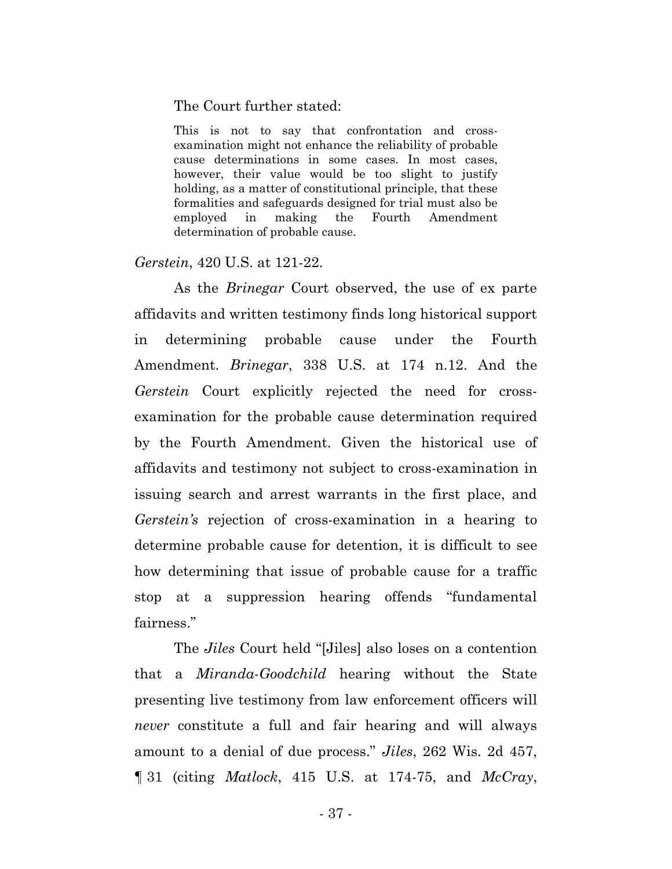#### The Court further stated:

This is not to say that confrontation and crossexamination might not enhance the reliability of probable cause determinations in some cases. In most cases, however, their value would be too slight to justify holding, as a matter of constitutional principle, that these formalities and safeguards designed for trial must also be employed in making the Fourth Amendment determination of probable cause.

*Gerstein*, 420 U.S. at 121-22.

As the *Brinegar* Court observed, the use of ex parte affidavits and written testimony finds long historical support in determining probable cause under the Fourth Amendment. *Brinegar*, 338 U.S. at 174 n.12. And the *Gerstein* Court explicitly rejected the need for crossexamination for the probable cause determination required by the Fourth Amendment. Given the historical use of affidavits and testimony not subject to cross-examination in issuing search and arrest warrants in the first place, and *Gerstein's* rejection of cross-examination in a hearing to determine probable cause for detention, it is difficult to see how determining that issue of probable cause for a traffic stop at a suppression hearing offends "fundamental fairness."

The *Jiles* Court held "[Jiles] also loses on a contention that a *Miranda*-*Goodchild* hearing without the State presenting live testimony from law enforcement officers will *never* constitute a full and fair hearing and will always amount to a denial of due process." *Jiles*, 262 Wis. 2d 457, ¶ 31 (citing *Matlock*, 415 U.S. at 174-75, and *McCray*,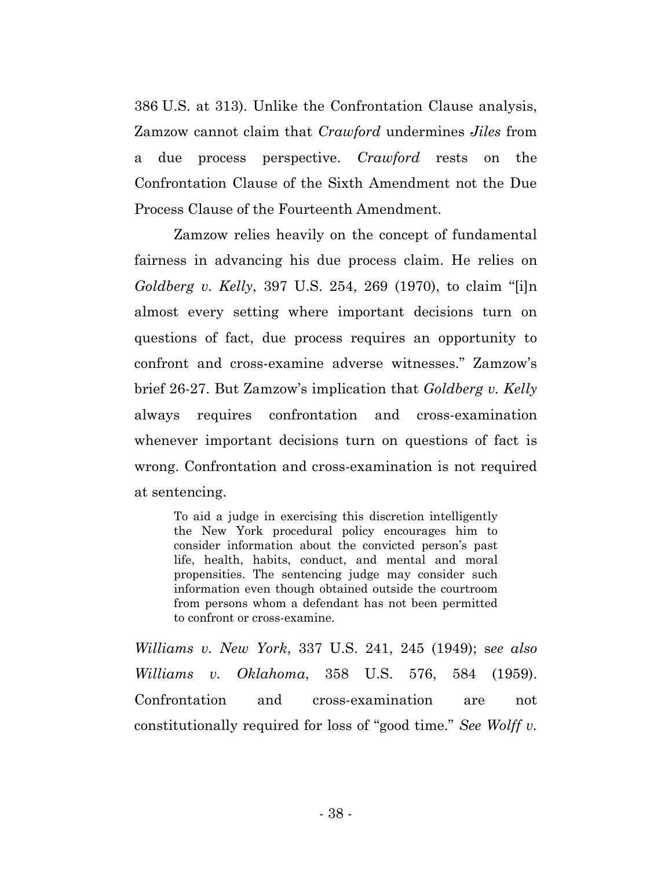386 U.S. at 313). Unlike the Confrontation Clause analysis, Zamzow cannot claim that *Crawford* undermines *Jiles* from a due process perspective. *Crawford* rests on the Confrontation Clause of the Sixth Amendment not the Due Process Clause of the Fourteenth Amendment.

Zamzow relies heavily on the concept of fundamental fairness in advancing his due process claim. He relies on *Goldberg v. Kelly*, 397 U.S. 254, 269 (1970), to claim "[i]n almost every setting where important decisions turn on questions of fact, due process requires an opportunity to confront and cross-examine adverse witnesses." Zamzow's brief 26-27. But Zamzow's implication that *Goldberg v. Kelly* always requires confrontation and cross-examination whenever important decisions turn on questions of fact is wrong. Confrontation and cross-examination is not required at sentencing.

To aid a judge in exercising this discretion intelligently the New York procedural policy encourages him to consider information about the convicted person's past life, health, habits, conduct, and mental and moral propensities. The sentencing judge may consider such information even though obtained outside the courtroom from persons whom a defendant has not been permitted to confront or cross-examine.

*Williams v. New York*, 337 U.S. 241, 245 (1949); s*ee also Williams v. Oklahoma*, 358 U.S. 576, 584 (1959). Confrontation and cross-examination are not constitutionally required for loss of "good time." *See Wolff v.*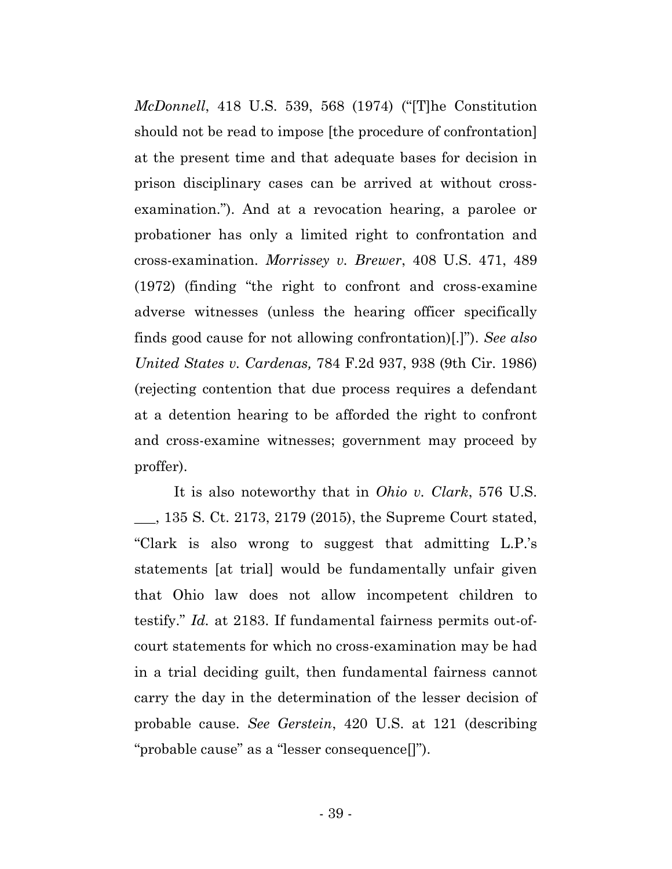*McDonnell*, 418 U.S. 539, 568 (1974) ("[T]he Constitution should not be read to impose [the procedure of confrontation] at the present time and that adequate bases for decision in prison disciplinary cases can be arrived at without crossexamination."). And at a revocation hearing, a parolee or probationer has only a limited right to confrontation and cross-examination. *Morrissey v. Brewer*, 408 U.S. 471, 489 (1972) (finding "the right to confront and cross-examine adverse witnesses (unless the hearing officer specifically finds good cause for not allowing confrontation)[.]"). *See also United States v. Cardenas,* 784 F.2d 937, 938 (9th Cir. 1986) (rejecting contention that due process requires a defendant at a detention hearing to be afforded the right to confront and cross-examine witnesses; government may proceed by proffer).

It is also noteworthy that in *Ohio v. Clark*, 576 U.S. \_\_\_, 135 S. Ct. 2173, 2179 (2015), the Supreme Court stated, "Clark is also wrong to suggest that admitting L.P.'s statements [at trial] would be fundamentally unfair given that Ohio law does not allow incompetent children to testify." *Id.* at 2183. If fundamental fairness permits out-ofcourt statements for which no cross-examination may be had in a trial deciding guilt, then fundamental fairness cannot carry the day in the determination of the lesser decision of probable cause. *See Gerstein*, 420 U.S. at 121 (describing "probable cause" as a "lesser consequence[]").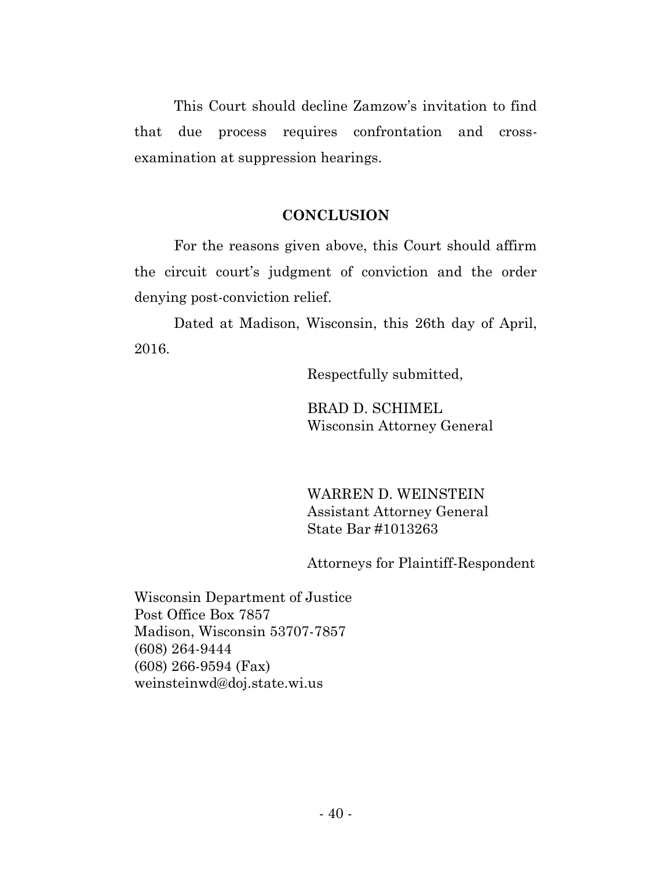This Court should decline Zamzow's invitation to find that due process requires confrontation and crossexamination at suppression hearings.

### **CONCLUSION**

For the reasons given above, this Court should affirm the circuit court's judgment of conviction and the order denying post-conviction relief.

Dated at Madison, Wisconsin, this 26th day of April, 2016.

Respectfully submitted,

BRAD D. SCHIMEL Wisconsin Attorney General

WARREN D. WEINSTEIN Assistant Attorney General State Bar #1013263

Attorneys for Plaintiff-Respondent

Wisconsin Department of Justice Post Office Box 7857 Madison, Wisconsin 53707-7857 (608) 264-9444 (608) 266-9594 (Fax) weinsteinwd@doj.state.wi.us